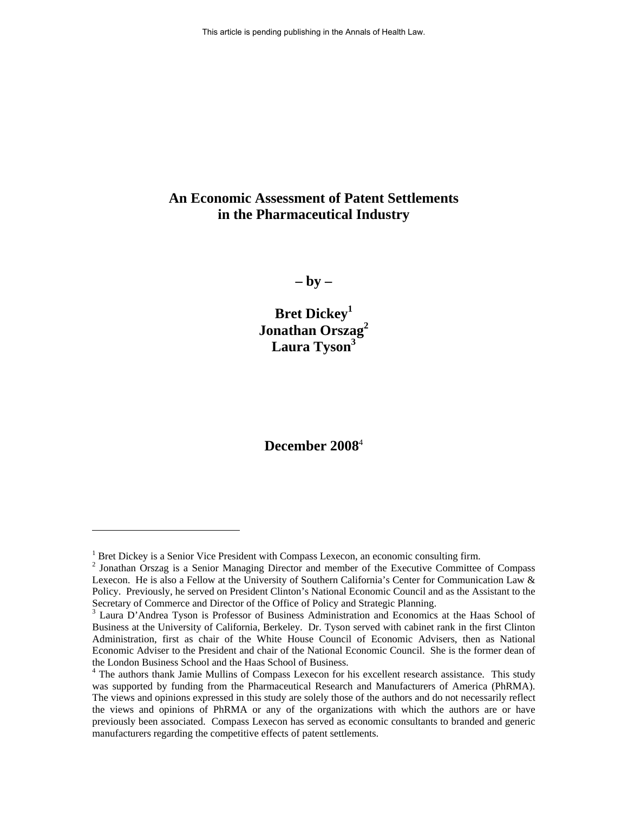## **An Economic Assessment of Patent Settlements in the Pharmaceutical Industry**

**– by –** 

**Bret Dickey<sup>1</sup> Jonathan Orszag<sup>2</sup> Laura Tyson3**

**December 2008**<sup>4</sup>

<sup>&</sup>lt;sup>1</sup> Bret Dickey is a Senior Vice President with Compass Lexecon, an economic consulting firm.<br><sup>2</sup> Jonathan Orsges is a Senior Managing Director and mamber of the Executive Committee.

<sup>&</sup>lt;sup>2</sup> Jonathan Orszag is a Senior Managing Director and member of the Executive Committee of Compass Lexecon. He is also a Fellow at the University of Southern California's Center for Communication Law & Policy. Previously, he served on President Clinton's National Economic Council and as the Assistant to the Secretary of Commerce and Director of the Office of Policy and Strategic Planning.

<sup>&</sup>lt;sup>3</sup> Laura D'Andrea Tyson is Professor of Business Administration and Economics at the Haas School of Business at the University of California, Berkeley. Dr. Tyson served with cabinet rank in the first Clinton Administration, first as chair of the White House Council of Economic Advisers, then as National Economic Adviser to the President and chair of the National Economic Council. She is the former dean of the London Business School and the Haas School of Business.

<sup>&</sup>lt;sup>4</sup> The authors thank Jamie Mullins of Compass Lexecon for his excellent research assistance. This study was supported by funding from the Pharmaceutical Research and Manufacturers of America (PhRMA). The views and opinions expressed in this study are solely those of the authors and do not necessarily reflect the views and opinions of PhRMA or any of the organizations with which the authors are or have previously been associated. Compass Lexecon has served as economic consultants to branded and generic manufacturers regarding the competitive effects of patent settlements.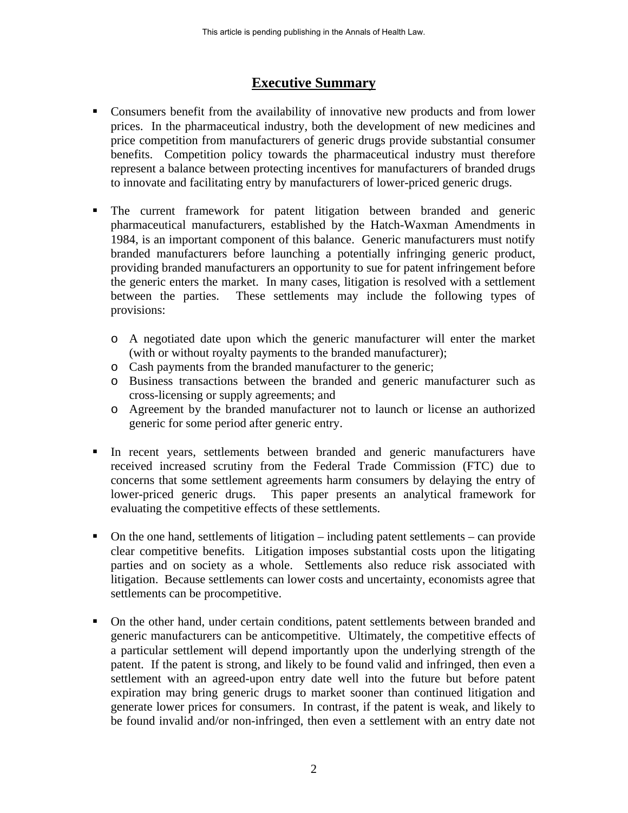# **Executive Summary**

- Consumers benefit from the availability of innovative new products and from lower prices. In the pharmaceutical industry, both the development of new medicines and price competition from manufacturers of generic drugs provide substantial consumer benefits. Competition policy towards the pharmaceutical industry must therefore represent a balance between protecting incentives for manufacturers of branded drugs to innovate and facilitating entry by manufacturers of lower-priced generic drugs.
- The current framework for patent litigation between branded and generic pharmaceutical manufacturers, established by the Hatch-Waxman Amendments in 1984, is an important component of this balance. Generic manufacturers must notify branded manufacturers before launching a potentially infringing generic product, providing branded manufacturers an opportunity to sue for patent infringement before the generic enters the market. In many cases, litigation is resolved with a settlement between the parties. These settlements may include the following types of provisions:
	- o A negotiated date upon which the generic manufacturer will enter the market (with or without royalty payments to the branded manufacturer);
	- o Cash payments from the branded manufacturer to the generic;
	- o Business transactions between the branded and generic manufacturer such as cross-licensing or supply agreements; and
	- o Agreement by the branded manufacturer not to launch or license an authorized generic for some period after generic entry.
- In recent years, settlements between branded and generic manufacturers have received increased scrutiny from the Federal Trade Commission (FTC) due to concerns that some settlement agreements harm consumers by delaying the entry of lower-priced generic drugs. This paper presents an analytical framework for evaluating the competitive effects of these settlements.
- On the one hand, settlements of litigation including patent settlements can provide clear competitive benefits. Litigation imposes substantial costs upon the litigating parties and on society as a whole. Settlements also reduce risk associated with litigation. Because settlements can lower costs and uncertainty, economists agree that settlements can be procompetitive.
- On the other hand, under certain conditions, patent settlements between branded and generic manufacturers can be anticompetitive. Ultimately, the competitive effects of a particular settlement will depend importantly upon the underlying strength of the patent. If the patent is strong, and likely to be found valid and infringed, then even a settlement with an agreed-upon entry date well into the future but before patent expiration may bring generic drugs to market sooner than continued litigation and generate lower prices for consumers. In contrast, if the patent is weak, and likely to be found invalid and/or non-infringed, then even a settlement with an entry date not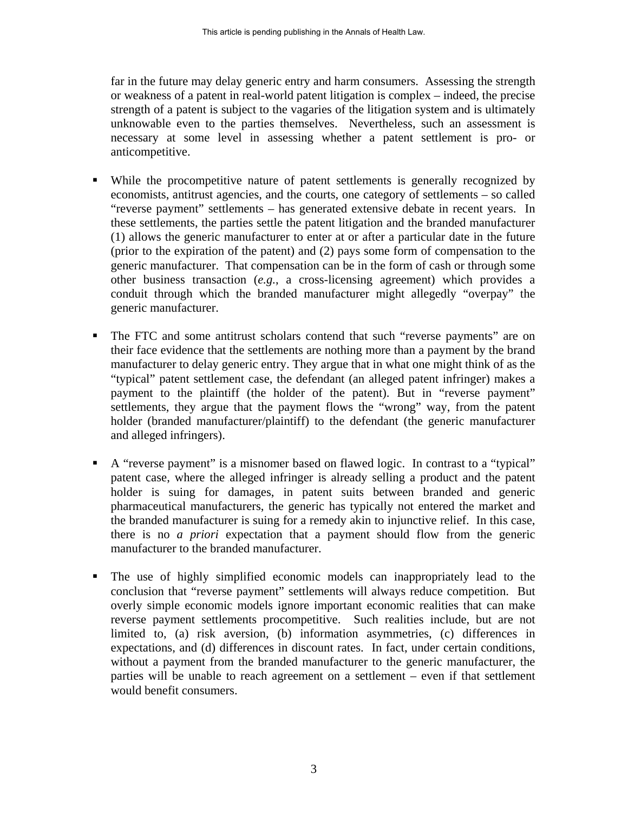far in the future may delay generic entry and harm consumers. Assessing the strength or weakness of a patent in real-world patent litigation is complex – indeed, the precise strength of a patent is subject to the vagaries of the litigation system and is ultimately unknowable even to the parties themselves. Nevertheless, such an assessment is necessary at some level in assessing whether a patent settlement is pro- or anticompetitive.

- While the procompetitive nature of patent settlements is generally recognized by economists, antitrust agencies, and the courts, one category of settlements – so called "reverse payment" settlements – has generated extensive debate in recent years. In these settlements, the parties settle the patent litigation and the branded manufacturer (1) allows the generic manufacturer to enter at or after a particular date in the future (prior to the expiration of the patent) and (2) pays some form of compensation to the generic manufacturer. That compensation can be in the form of cash or through some other business transaction (*e.g.*, a cross-licensing agreement) which provides a conduit through which the branded manufacturer might allegedly "overpay" the generic manufacturer.
- The FTC and some antitrust scholars contend that such "reverse payments" are on their face evidence that the settlements are nothing more than a payment by the brand manufacturer to delay generic entry. They argue that in what one might think of as the "typical" patent settlement case, the defendant (an alleged patent infringer) makes a payment to the plaintiff (the holder of the patent). But in "reverse payment" settlements, they argue that the payment flows the "wrong" way, from the patent holder (branded manufacturer/plaintiff) to the defendant (the generic manufacturer and alleged infringers).
- A "reverse payment" is a misnomer based on flawed logic. In contrast to a "typical" patent case, where the alleged infringer is already selling a product and the patent holder is suing for damages, in patent suits between branded and generic pharmaceutical manufacturers, the generic has typically not entered the market and the branded manufacturer is suing for a remedy akin to injunctive relief. In this case, there is no *a priori* expectation that a payment should flow from the generic manufacturer to the branded manufacturer.
- The use of highly simplified economic models can inappropriately lead to the conclusion that "reverse payment" settlements will always reduce competition. But overly simple economic models ignore important economic realities that can make reverse payment settlements procompetitive. Such realities include, but are not limited to, (a) risk aversion, (b) information asymmetries, (c) differences in expectations, and (d) differences in discount rates. In fact, under certain conditions, without a payment from the branded manufacturer to the generic manufacturer, the parties will be unable to reach agreement on a settlement – even if that settlement would benefit consumers.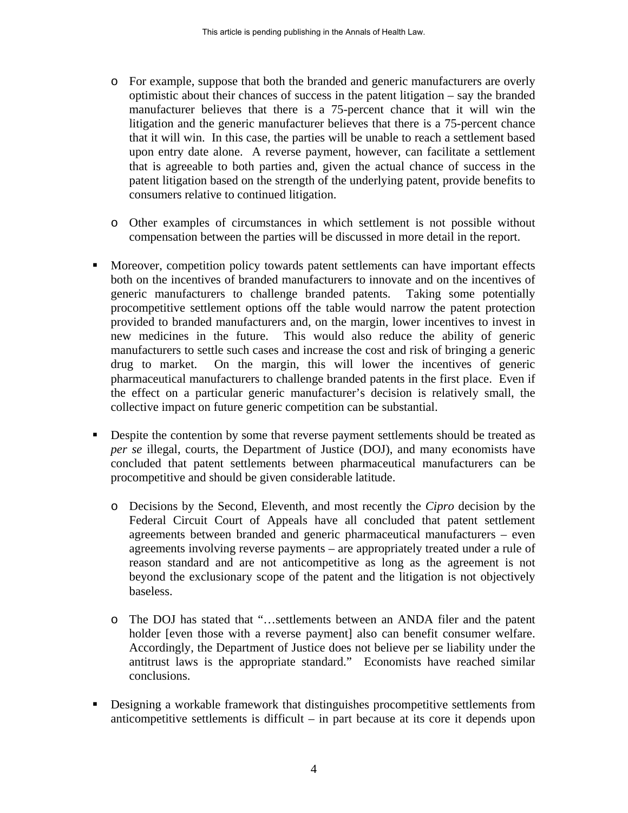- o For example, suppose that both the branded and generic manufacturers are overly optimistic about their chances of success in the patent litigation – say the branded manufacturer believes that there is a 75-percent chance that it will win the litigation and the generic manufacturer believes that there is a 75-percent chance that it will win. In this case, the parties will be unable to reach a settlement based upon entry date alone. A reverse payment, however, can facilitate a settlement that is agreeable to both parties and, given the actual chance of success in the patent litigation based on the strength of the underlying patent, provide benefits to consumers relative to continued litigation.
- o Other examples of circumstances in which settlement is not possible without compensation between the parties will be discussed in more detail in the report.
- Moreover, competition policy towards patent settlements can have important effects both on the incentives of branded manufacturers to innovate and on the incentives of generic manufacturers to challenge branded patents. Taking some potentially procompetitive settlement options off the table would narrow the patent protection provided to branded manufacturers and, on the margin, lower incentives to invest in new medicines in the future. This would also reduce the ability of generic manufacturers to settle such cases and increase the cost and risk of bringing a generic drug to market. On the margin, this will lower the incentives of generic pharmaceutical manufacturers to challenge branded patents in the first place. Even if the effect on a particular generic manufacturer's decision is relatively small, the collective impact on future generic competition can be substantial.
- Despite the contention by some that reverse payment settlements should be treated as *per se* illegal, courts, the Department of Justice (DOJ), and many economists have concluded that patent settlements between pharmaceutical manufacturers can be procompetitive and should be given considerable latitude.
	- o Decisions by the Second, Eleventh, and most recently the *Cipro* decision by the Federal Circuit Court of Appeals have all concluded that patent settlement agreements between branded and generic pharmaceutical manufacturers – even agreements involving reverse payments – are appropriately treated under a rule of reason standard and are not anticompetitive as long as the agreement is not beyond the exclusionary scope of the patent and the litigation is not objectively baseless.
	- o The DOJ has stated that "…settlements between an ANDA filer and the patent holder [even those with a reverse payment] also can benefit consumer welfare. Accordingly, the Department of Justice does not believe per se liability under the antitrust laws is the appropriate standard." Economists have reached similar conclusions.
- **Designing a workable framework that distinguishes procompetitive settlements from** anticompetitive settlements is difficult – in part because at its core it depends upon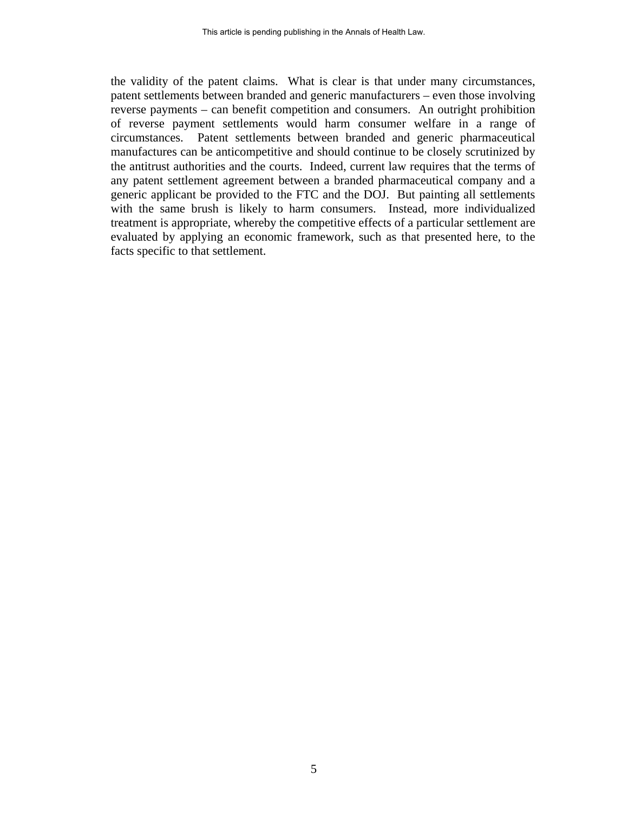the validity of the patent claims. What is clear is that under many circumstances, patent settlements between branded and generic manufacturers – even those involving reverse payments – can benefit competition and consumers. An outright prohibition of reverse payment settlements would harm consumer welfare in a range of circumstances. Patent settlements between branded and generic pharmaceutical manufactures can be anticompetitive and should continue to be closely scrutinized by the antitrust authorities and the courts. Indeed, current law requires that the terms of any patent settlement agreement between a branded pharmaceutical company and a generic applicant be provided to the FTC and the DOJ. But painting all settlements with the same brush is likely to harm consumers. Instead, more individualized treatment is appropriate, whereby the competitive effects of a particular settlement are evaluated by applying an economic framework, such as that presented here, to the facts specific to that settlement.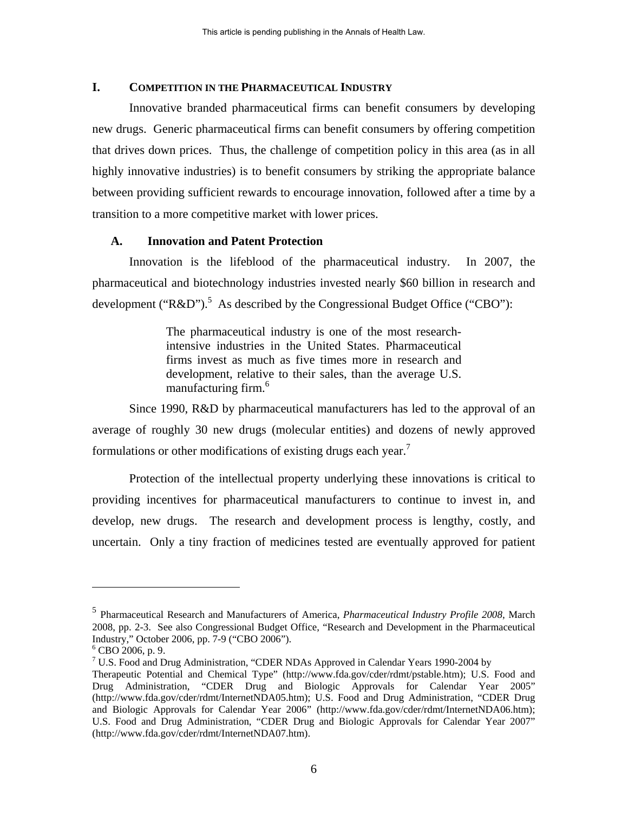## **I. COMPETITION IN THE PHARMACEUTICAL INDUSTRY**

Innovative branded pharmaceutical firms can benefit consumers by developing new drugs. Generic pharmaceutical firms can benefit consumers by offering competition that drives down prices. Thus, the challenge of competition policy in this area (as in all highly innovative industries) is to benefit consumers by striking the appropriate balance between providing sufficient rewards to encourage innovation, followed after a time by a transition to a more competitive market with lower prices.

#### **A. Innovation and Patent Protection**

Innovation is the lifeblood of the pharmaceutical industry. In 2007, the pharmaceutical and biotechnology industries invested nearly \$60 billion in research and development ("R&D").<sup>5</sup> As described by the Congressional Budget Office ("CBO"):

> The pharmaceutical industry is one of the most researchintensive industries in the United States. Pharmaceutical firms invest as much as five times more in research and development, relative to their sales, than the average U.S. manufacturing firm.<sup>6</sup>

Since 1990, R&D by pharmaceutical manufacturers has led to the approval of an average of roughly 30 new drugs (molecular entities) and dozens of newly approved formulations or other modifications of existing drugs each year.<sup>7</sup>

Protection of the intellectual property underlying these innovations is critical to providing incentives for pharmaceutical manufacturers to continue to invest in, and develop, new drugs. The research and development process is lengthy, costly, and uncertain. Only a tiny fraction of medicines tested are eventually approved for patient

<sup>5</sup> Pharmaceutical Research and Manufacturers of America, *Pharmaceutical Industry Profile 2008*, March 2008, pp. 2-3. See also Congressional Budget Office, "Research and Development in the Pharmaceutical Industry," October 2006, pp. 7-9 ("CBO 2006").

<sup>6</sup> CBO 2006, p. 9.

<sup>&</sup>lt;sup>7</sup> U.S. Food and Drug Administration, "CDER NDAs Approved in Calendar Years 1990-2004 by

Therapeutic Potential and Chemical Type" (http://www.fda.gov/cder/rdmt/pstable.htm); U.S. Food and Drug Administration, "CDER Drug and Biologic Approvals for Calendar Year 2005" (http://www.fda.gov/cder/rdmt/InternetNDA05.htm); U.S. Food and Drug Administration, "CDER Drug and Biologic Approvals for Calendar Year 2006" (http://www.fda.gov/cder/rdmt/InternetNDA06.htm); U.S. Food and Drug Administration, "CDER Drug and Biologic Approvals for Calendar Year 2007" (http://www.fda.gov/cder/rdmt/InternetNDA07.htm).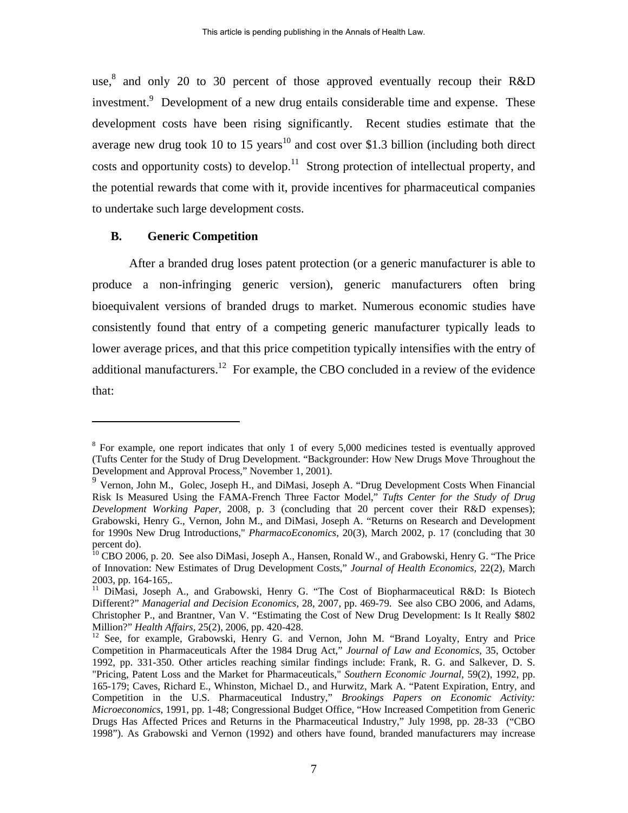use,<sup>8</sup> and only 20 to 30 percent of those approved eventually recoup their R&D investment.<sup>9</sup> Development of a new drug entails considerable time and expense. These development costs have been rising significantly. Recent studies estimate that the average new drug took 10 to 15 years<sup>10</sup> and cost over \$1.3 billion (including both direct costs and opportunity costs) to develop.<sup>11</sup> Strong protection of intellectual property, and the potential rewards that come with it, provide incentives for pharmaceutical companies to undertake such large development costs.

## **B. Generic Competition**

 $\overline{a}$ 

After a branded drug loses patent protection (or a generic manufacturer is able to produce a non-infringing generic version), generic manufacturers often bring bioequivalent versions of branded drugs to market. Numerous economic studies have consistently found that entry of a competing generic manufacturer typically leads to lower average prices, and that this price competition typically intensifies with the entry of additional manufacturers.<sup>12</sup> For example, the CBO concluded in a review of the evidence that:

<sup>&</sup>lt;sup>8</sup> For example, one report indicates that only 1 of every 5,000 medicines tested is eventually approved (Tufts Center for the Study of Drug Development. "Backgrounder: How New Drugs Move Throughout the Development and Approval Process," November 1, 2001).

<sup>&</sup>lt;sup>9</sup> Vernon, John M., Golec, Joseph H., and DiMasi, Joseph A. "Drug Development Costs When Financial Risk Is Measured Using the FAMA-French Three Factor Model," *Tufts Center for the Study of Drug Development Working Paper*, 2008, p. 3 (concluding that 20 percent cover their R&D expenses); Grabowski, Henry G., Vernon, John M., and DiMasi, Joseph A. "Returns on Research and Development for 1990s New Drug Introductions," *PharmacoEconomics*, 20(3), March 2002, p. 17 (concluding that 30 percent do).

<sup>&</sup>lt;sup>10</sup> CBO 2006, p. 20. See also DiMasi, Joseph A., Hansen, Ronald W., and Grabowski, Henry G. "The Price of Innovation: New Estimates of Drug Development Costs," *Journal of Health Economics,* 22(2), March 2003, pp. 164-165,.

<sup>&</sup>lt;sup>11</sup> DiMasi, Joseph A., and Grabowski, Henry G. "The Cost of Biopharmaceutical R&D: Is Biotech Different?" *Managerial and Decision Economics,* 28, 2007, pp. 469-79. See also CBO 2006, and Adams, Christopher P., and Brantner, Van V. "Estimating the Cost of New Drug Development: Is It Really \$802 Million?" Health Affairs, 25(2), 2006, pp. 420-428.

<sup>&</sup>lt;sup>12</sup> See, for example, Grabowski, Henry G. and Vernon, John M. "Brand Loyalty, Entry and Price Competition in Pharmaceuticals After the 1984 Drug Act," *Journal of Law and Economics,* 35, October 1992, pp. 331-350. Other articles reaching similar findings include: Frank, R. G. and Salkever, D. S. "Pricing, Patent Loss and the Market for Pharmaceuticals," *Southern Economic Journal,* 59(2), 1992, pp. 165-179; Caves, Richard E., Whinston, Michael D., and Hurwitz, Mark A. "Patent Expiration, Entry, and Competition in the U.S. Pharmaceutical Industry," *Brookings Papers on Economic Activity: Microeconomics*, 1991, pp. 1-48; Congressional Budget Office, "How Increased Competition from Generic Drugs Has Affected Prices and Returns in the Pharmaceutical Industry," July 1998, pp. 28-33 ("CBO 1998"). As Grabowski and Vernon (1992) and others have found, branded manufacturers may increase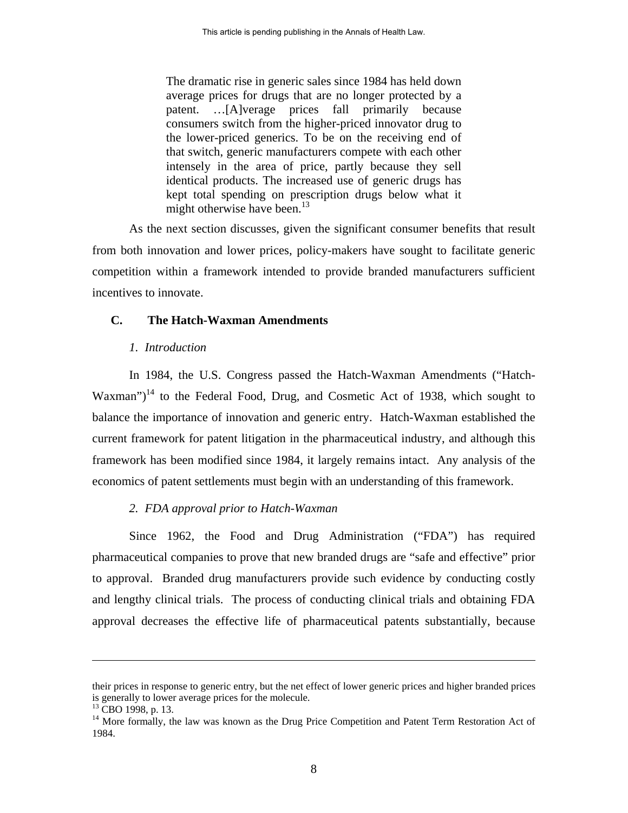The dramatic rise in generic sales since 1984 has held down average prices for drugs that are no longer protected by a patent. …[A]verage prices fall primarily because consumers switch from the higher-priced innovator drug to the lower-priced generics. To be on the receiving end of that switch, generic manufacturers compete with each other intensely in the area of price, partly because they sell identical products. The increased use of generic drugs has kept total spending on prescription drugs below what it might otherwise have been.<sup>13</sup>

 As the next section discusses, given the significant consumer benefits that result from both innovation and lower prices, policy-makers have sought to facilitate generic competition within a framework intended to provide branded manufacturers sufficient incentives to innovate.

## **C. The Hatch-Waxman Amendments**

## *1. Introduction*

In 1984, the U.S. Congress passed the Hatch-Waxman Amendments ("Hatch-Waxman")<sup>14</sup> to the Federal Food, Drug, and Cosmetic Act of 1938, which sought to balance the importance of innovation and generic entry. Hatch-Waxman established the current framework for patent litigation in the pharmaceutical industry, and although this framework has been modified since 1984, it largely remains intact. Any analysis of the economics of patent settlements must begin with an understanding of this framework.

## *2. FDA approval prior to Hatch-Waxman*

Since 1962, the Food and Drug Administration ("FDA") has required pharmaceutical companies to prove that new branded drugs are "safe and effective" prior to approval. Branded drug manufacturers provide such evidence by conducting costly and lengthy clinical trials. The process of conducting clinical trials and obtaining FDA approval decreases the effective life of pharmaceutical patents substantially, because

their prices in response to generic entry, but the net effect of lower generic prices and higher branded prices is generally to lower average prices for the molecule.

<sup>&</sup>lt;sup>13</sup> CBO 1998, p. 13.

<sup>&</sup>lt;sup>14</sup> More formally, the law was known as the Drug Price Competition and Patent Term Restoration Act of 1984.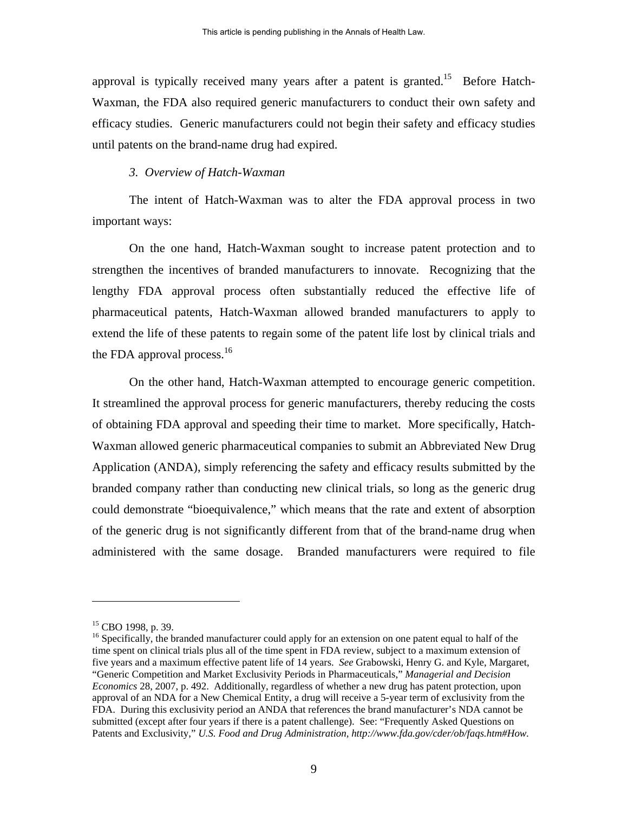approval is typically received many years after a patent is granted.<sup>15</sup> Before Hatch-Waxman, the FDA also required generic manufacturers to conduct their own safety and efficacy studies. Generic manufacturers could not begin their safety and efficacy studies until patents on the brand-name drug had expired.

#### *3. Overview of Hatch-Waxman*

The intent of Hatch-Waxman was to alter the FDA approval process in two important ways:

On the one hand, Hatch-Waxman sought to increase patent protection and to strengthen the incentives of branded manufacturers to innovate. Recognizing that the lengthy FDA approval process often substantially reduced the effective life of pharmaceutical patents, Hatch-Waxman allowed branded manufacturers to apply to extend the life of these patents to regain some of the patent life lost by clinical trials and the FDA approval process.<sup>16</sup>

On the other hand, Hatch-Waxman attempted to encourage generic competition. It streamlined the approval process for generic manufacturers, thereby reducing the costs of obtaining FDA approval and speeding their time to market. More specifically, Hatch-Waxman allowed generic pharmaceutical companies to submit an Abbreviated New Drug Application (ANDA), simply referencing the safety and efficacy results submitted by the branded company rather than conducting new clinical trials, so long as the generic drug could demonstrate "bioequivalence," which means that the rate and extent of absorption of the generic drug is not significantly different from that of the brand-name drug when administered with the same dosage. Branded manufacturers were required to file

<sup>&</sup>lt;sup>15</sup> CBO 1998, p. 39.

<sup>&</sup>lt;sup>16</sup> Specifically, the branded manufacturer could apply for an extension on one patent equal to half of the time spent on clinical trials plus all of the time spent in FDA review, subject to a maximum extension of five years and a maximum effective patent life of 14 years. *See* Grabowski, Henry G. and Kyle, Margaret, "Generic Competition and Market Exclusivity Periods in Pharmaceuticals," *Managerial and Decision Economics* 28, 2007, p. 492. Additionally, regardless of whether a new drug has patent protection, upon approval of an NDA for a New Chemical Entity, a drug will receive a 5-year term of exclusivity from the FDA. During this exclusivity period an ANDA that references the brand manufacturer's NDA cannot be submitted (except after four years if there is a patent challenge). See: "Frequently Asked Questions on Patents and Exclusivity," *U.S. Food and Drug Administration, http://www.fda.gov/cder/ob/faqs.htm#How.*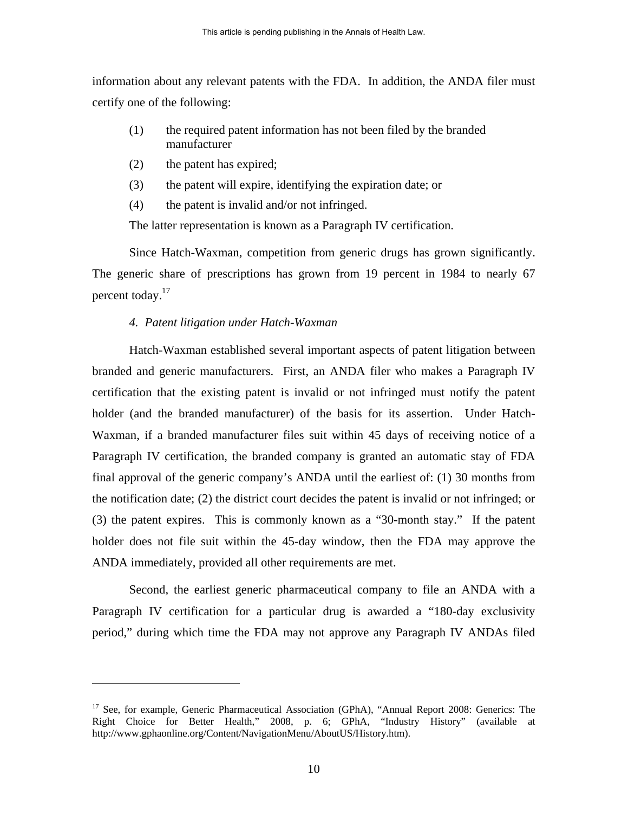information about any relevant patents with the FDA. In addition, the ANDA filer must certify one of the following:

- (1) the required patent information has not been filed by the branded manufacturer
- (2) the patent has expired;
- (3) the patent will expire, identifying the expiration date; or
- (4) the patent is invalid and/or not infringed.

The latter representation is known as a Paragraph IV certification.

Since Hatch-Waxman, competition from generic drugs has grown significantly. The generic share of prescriptions has grown from 19 percent in 1984 to nearly 67 percent today.17

## *4. Patent litigation under Hatch-Waxman*

 $\overline{a}$ 

Hatch-Waxman established several important aspects of patent litigation between branded and generic manufacturers. First, an ANDA filer who makes a Paragraph IV certification that the existing patent is invalid or not infringed must notify the patent holder (and the branded manufacturer) of the basis for its assertion. Under Hatch-Waxman, if a branded manufacturer files suit within 45 days of receiving notice of a Paragraph IV certification, the branded company is granted an automatic stay of FDA final approval of the generic company's ANDA until the earliest of: (1) 30 months from the notification date; (2) the district court decides the patent is invalid or not infringed; or (3) the patent expires. This is commonly known as a "30-month stay." If the patent holder does not file suit within the 45-day window, then the FDA may approve the ANDA immediately, provided all other requirements are met.

Second, the earliest generic pharmaceutical company to file an ANDA with a Paragraph IV certification for a particular drug is awarded a "180-day exclusivity period," during which time the FDA may not approve any Paragraph IV ANDAs filed

<sup>&</sup>lt;sup>17</sup> See, for example, Generic Pharmaceutical Association (GPhA), "Annual Report 2008: Generics: The Right Choice for Better Health," 2008, p. 6; GPhA, "Industry History" (available at http://www.gphaonline.org/Content/NavigationMenu/AboutUS/History.htm).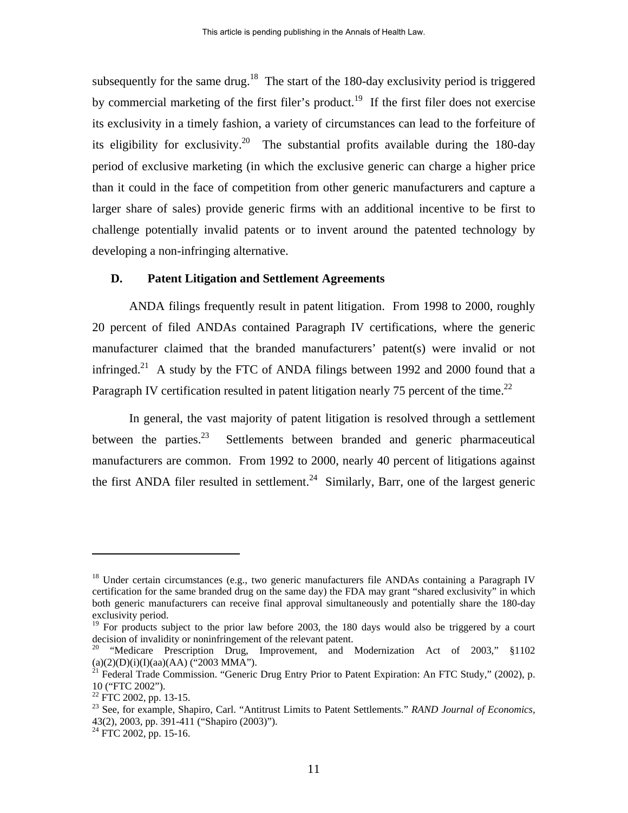subsequently for the same drug.<sup>18</sup> The start of the 180-day exclusivity period is triggered by commercial marketing of the first filer's product.<sup>19</sup> If the first filer does not exercise its exclusivity in a timely fashion, a variety of circumstances can lead to the forfeiture of its eligibility for exclusivity.<sup>20</sup> The substantial profits available during the 180-day period of exclusive marketing (in which the exclusive generic can charge a higher price than it could in the face of competition from other generic manufacturers and capture a larger share of sales) provide generic firms with an additional incentive to be first to challenge potentially invalid patents or to invent around the patented technology by developing a non-infringing alternative.

#### **D. Patent Litigation and Settlement Agreements**

ANDA filings frequently result in patent litigation. From 1998 to 2000, roughly 20 percent of filed ANDAs contained Paragraph IV certifications, where the generic manufacturer claimed that the branded manufacturers' patent(s) were invalid or not infringed.<sup>21</sup> A study by the FTC of ANDA filings between 1992 and 2000 found that a Paragraph IV certification resulted in patent litigation nearly 75 percent of the time.<sup>22</sup>

In general, the vast majority of patent litigation is resolved through a settlement between the parties.<sup>23</sup> Settlements between branded and generic pharmaceutical manufacturers are common. From 1992 to 2000, nearly 40 percent of litigations against the first ANDA filer resulted in settlement.<sup>24</sup> Similarly, Barr, one of the largest generic

 $18$  Under certain circumstances (e.g., two generic manufacturers file ANDAs containing a Paragraph IV certification for the same branded drug on the same day) the FDA may grant "shared exclusivity" in which both generic manufacturers can receive final approval simultaneously and potentially share the 180-day exclusivity period.

 $19$  For products subject to the prior law before 2003, the 180 days would also be triggered by a court decision of invalidity or noninfringement of the relevant patent.

<sup>&</sup>lt;sup>20</sup> "Medicare Prescription Drug, Improvement, and Modernization Act of 2003," §1102  $(a)(2)(D)(i)(I)(aa)(AA)$  ("2003 MMA").

 $^{21}$  Federal Trade Commission. "Generic Drug Entry Prior to Patent Expiration: An FTC Study," (2002), p. 10 ("FTC 2002").

 $22$  FTC 2002, pp. 13-15.

<sup>23</sup> See, for example, Shapiro, Carl. "Antitrust Limits to Patent Settlements." *RAND Journal of Economics,*  43(2), 2003, pp. 391-411 ("Shapiro (2003)").

 $^{24}$  FTC 2002, pp. 15-16.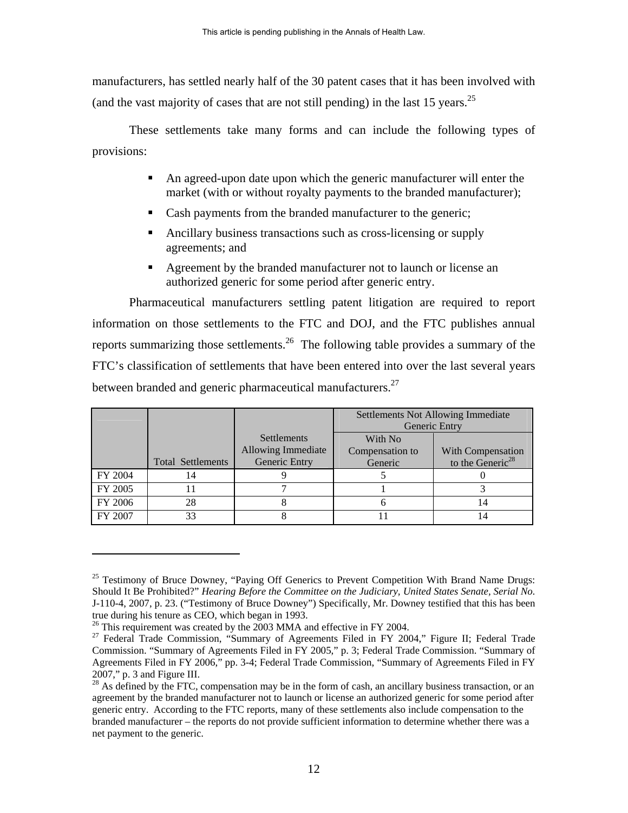manufacturers, has settled nearly half of the 30 patent cases that it has been involved with (and the vast majority of cases that are not still pending) in the last 15 years.<sup>25</sup>

These settlements take many forms and can include the following types of provisions:

- An agreed-upon date upon which the generic manufacturer will enter the market (with or without royalty payments to the branded manufacturer);
- **Cash payments from the branded manufacturer to the generic;**
- Ancillary business transactions such as cross-licensing or supply agreements; and
- Agreement by the branded manufacturer not to launch or license an authorized generic for some period after generic entry.

Pharmaceutical manufacturers settling patent litigation are required to report information on those settlements to the FTC and DOJ, and the FTC publishes annual reports summarizing those settlements.<sup>26</sup> The following table provides a summary of the FTC's classification of settlements that have been entered into over the last several years between branded and generic pharmaceutical manufacturers.<sup>27</sup>

|         |                          |                                                 | Settlements Not Allowing Immediate<br>Generic Entry |                              |
|---------|--------------------------|-------------------------------------------------|-----------------------------------------------------|------------------------------|
|         |                          | <b>Settlements</b><br><b>Allowing Immediate</b> | With No.<br>Compensation to                         | With Compensation            |
|         | <b>Total Settlements</b> | Generic Entry                                   | Generic                                             | to the Generic <sup>28</sup> |
| FY 2004 |                          |                                                 |                                                     |                              |
| FY 2005 |                          |                                                 |                                                     |                              |
| FY 2006 | 28                       |                                                 |                                                     | 14                           |
| FY 2007 | 33                       |                                                 |                                                     | 14                           |

<sup>&</sup>lt;sup>25</sup> Testimony of Bruce Downey, "Paying Off Generics to Prevent Competition With Brand Name Drugs: Should It Be Prohibited?" *Hearing Before the Committee on the Judiciary, United States Senate, Serial No.*  J-110-4, 2007, p. 23. ("Testimony of Bruce Downey") Specifically, Mr. Downey testified that this has been true during his tenure as CEO, which began in 1993.<br><sup>26</sup> This requirement was created by the 2003 MMA and effective in FY 2004.

<sup>&</sup>lt;sup>27</sup> Federal Trade Commission, "Summary of Agreements Filed in FY 2004," Figure II; Federal Trade Commission. "Summary of Agreements Filed in FY 2005," p. 3; Federal Trade Commission. "Summary of Agreements Filed in FY 2006," pp. 3-4; Federal Trade Commission, "Summary of Agreements Filed in FY 2007," p. 3 and Figure III.

<sup>&</sup>lt;sup>28</sup> As defined by the FTC, compensation may be in the form of cash, an ancillary business transaction, or an agreement by the branded manufacturer not to launch or license an authorized generic for some period after generic entry. According to the FTC reports, many of these settlements also include compensation to the branded manufacturer – the reports do not provide sufficient information to determine whether there was a net payment to the generic.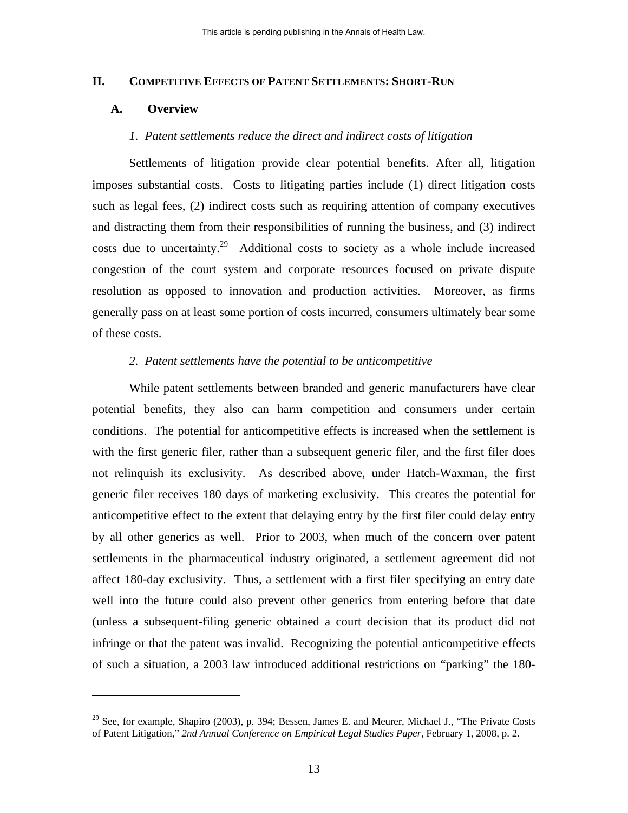#### **II. COMPETITIVE EFFECTS OF PATENT SETTLEMENTS: SHORT-RUN**

#### **A. Overview**

 $\overline{a}$ 

#### *1. Patent settlements reduce the direct and indirect costs of litigation*

Settlements of litigation provide clear potential benefits. After all, litigation imposes substantial costs. Costs to litigating parties include (1) direct litigation costs such as legal fees, (2) indirect costs such as requiring attention of company executives and distracting them from their responsibilities of running the business, and (3) indirect costs due to uncertainty.<sup>29</sup> Additional costs to society as a whole include increased congestion of the court system and corporate resources focused on private dispute resolution as opposed to innovation and production activities. Moreover, as firms generally pass on at least some portion of costs incurred, consumers ultimately bear some of these costs.

#### *2. Patent settlements have the potential to be anticompetitive*

While patent settlements between branded and generic manufacturers have clear potential benefits, they also can harm competition and consumers under certain conditions. The potential for anticompetitive effects is increased when the settlement is with the first generic filer, rather than a subsequent generic filer, and the first filer does not relinquish its exclusivity. As described above, under Hatch-Waxman, the first generic filer receives 180 days of marketing exclusivity. This creates the potential for anticompetitive effect to the extent that delaying entry by the first filer could delay entry by all other generics as well. Prior to 2003, when much of the concern over patent settlements in the pharmaceutical industry originated, a settlement agreement did not affect 180-day exclusivity. Thus, a settlement with a first filer specifying an entry date well into the future could also prevent other generics from entering before that date (unless a subsequent-filing generic obtained a court decision that its product did not infringe or that the patent was invalid. Recognizing the potential anticompetitive effects of such a situation, a 2003 law introduced additional restrictions on "parking" the 180-

 $29$  See, for example, Shapiro (2003), p. 394; Bessen, James E. and Meurer, Michael J., "The Private Costs of Patent Litigation," *2nd Annual Conference on Empirical Legal Studies Paper*, February 1, 2008, p. 2.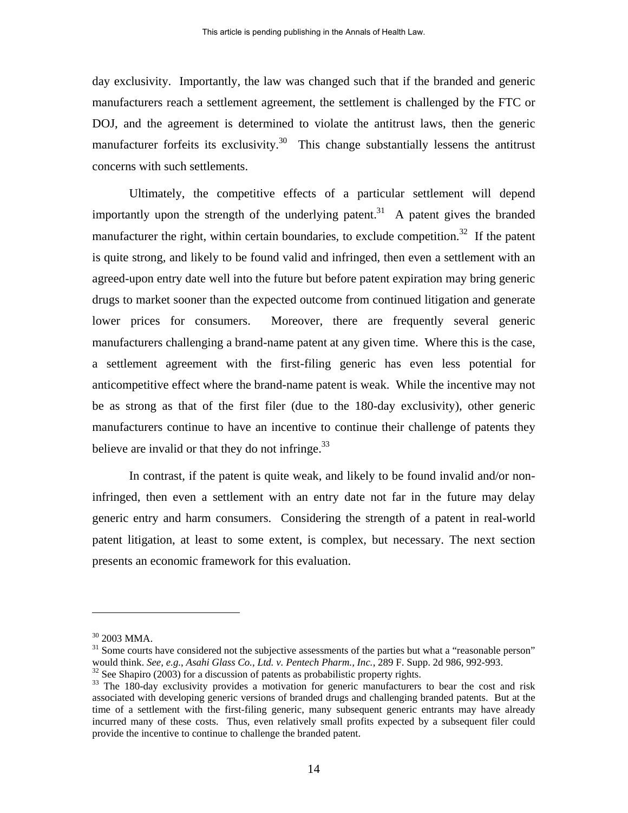day exclusivity. Importantly, the law was changed such that if the branded and generic manufacturers reach a settlement agreement, the settlement is challenged by the FTC or DOJ, and the agreement is determined to violate the antitrust laws, then the generic manufacturer forfeits its exclusivity.<sup>30</sup> This change substantially lessens the antitrust concerns with such settlements.

Ultimately, the competitive effects of a particular settlement will depend importantly upon the strength of the underlying patent.<sup>31</sup> A patent gives the branded manufacturer the right, within certain boundaries, to exclude competition.<sup>32</sup> If the patent is quite strong, and likely to be found valid and infringed, then even a settlement with an agreed-upon entry date well into the future but before patent expiration may bring generic drugs to market sooner than the expected outcome from continued litigation and generate lower prices for consumers. Moreover, there are frequently several generic manufacturers challenging a brand-name patent at any given time. Where this is the case, a settlement agreement with the first-filing generic has even less potential for anticompetitive effect where the brand-name patent is weak. While the incentive may not be as strong as that of the first filer (due to the 180-day exclusivity), other generic manufacturers continue to have an incentive to continue their challenge of patents they believe are invalid or that they do not infringe. $^{33}$ 

In contrast, if the patent is quite weak, and likely to be found invalid and/or noninfringed, then even a settlement with an entry date not far in the future may delay generic entry and harm consumers. Considering the strength of a patent in real-world patent litigation, at least to some extent, is complex, but necessary. The next section presents an economic framework for this evaluation.

<sup>30 2003</sup> MMA.

<sup>&</sup>lt;sup>31</sup> Some courts have considered not the subjective assessments of the parties but what a "reasonable person" would think. *See, e.g., Asahi Glass Co., Ltd. v. Pentech Pharm., Inc.*, 289 F. Supp. 2d 986, 992-993. <sup>32</sup> See Shapiro (2003) for a discussion of patents as probabilistic property rights.

<sup>&</sup>lt;sup>33</sup> The 180-day exclusivity provides a motivation for generic manufacturers to bear the cost and risk associated with developing generic versions of branded drugs and challenging branded patents. But at the time of a settlement with the first-filing generic, many subsequent generic entrants may have already incurred many of these costs. Thus, even relatively small profits expected by a subsequent filer could provide the incentive to continue to challenge the branded patent.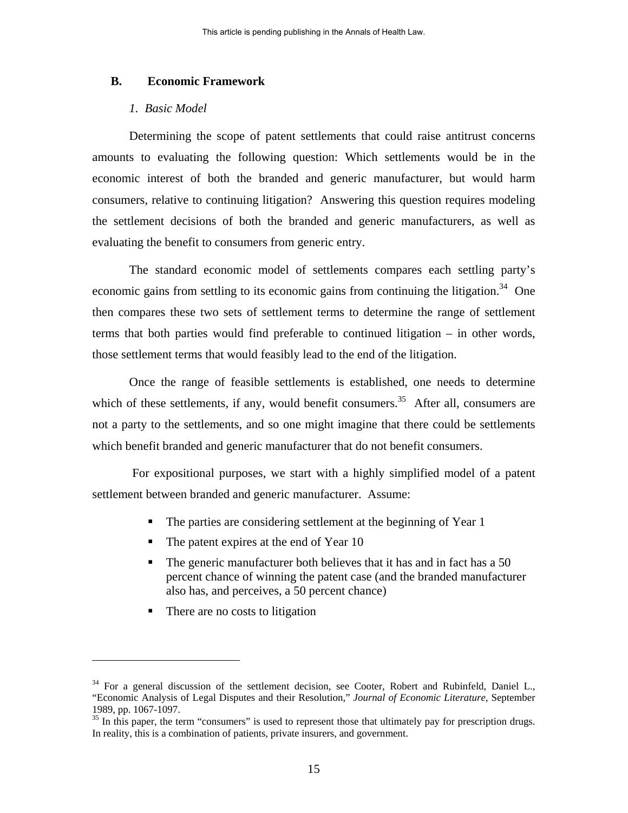#### **B. Economic Framework**

#### *1. Basic Model*

Determining the scope of patent settlements that could raise antitrust concerns amounts to evaluating the following question: Which settlements would be in the economic interest of both the branded and generic manufacturer, but would harm consumers, relative to continuing litigation? Answering this question requires modeling the settlement decisions of both the branded and generic manufacturers, as well as evaluating the benefit to consumers from generic entry.

The standard economic model of settlements compares each settling party's economic gains from settling to its economic gains from continuing the litigation. $34$  One then compares these two sets of settlement terms to determine the range of settlement terms that both parties would find preferable to continued litigation – in other words, those settlement terms that would feasibly lead to the end of the litigation.

Once the range of feasible settlements is established, one needs to determine which of these settlements, if any, would benefit consumers.<sup>35</sup> After all, consumers are not a party to the settlements, and so one might imagine that there could be settlements which benefit branded and generic manufacturer that do not benefit consumers.

 For expositional purposes, we start with a highly simplified model of a patent settlement between branded and generic manufacturer. Assume:

- The parties are considering settlement at the beginning of Year 1
- The patent expires at the end of Year 10
- The generic manufacturer both believes that it has and in fact has a 50 percent chance of winning the patent case (and the branded manufacturer also has, and perceives, a 50 percent chance)
- There are no costs to litigation

 $34$  For a general discussion of the settlement decision, see Cooter, Robert and Rubinfeld, Daniel L., "Economic Analysis of Legal Disputes and their Resolution," *Journal of Economic Literature*, September 1989, pp. 1067-1097.

 $35$  In this paper, the term "consumers" is used to represent those that ultimately pay for prescription drugs. In reality, this is a combination of patients, private insurers, and government.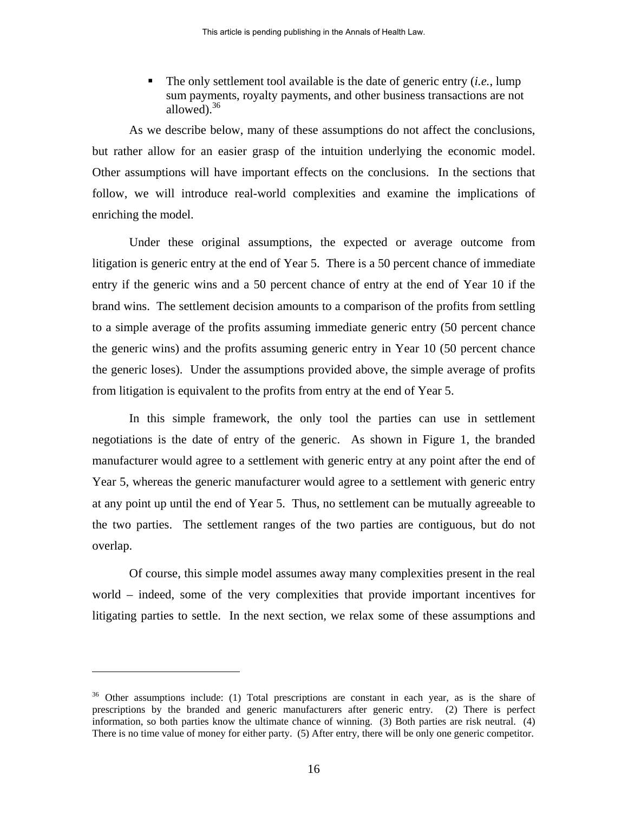The only settlement tool available is the date of generic entry (*i.e.*, lump sum payments, royalty payments, and other business transactions are not allowed).36

As we describe below, many of these assumptions do not affect the conclusions, but rather allow for an easier grasp of the intuition underlying the economic model. Other assumptions will have important effects on the conclusions. In the sections that follow, we will introduce real-world complexities and examine the implications of enriching the model.

Under these original assumptions, the expected or average outcome from litigation is generic entry at the end of Year 5. There is a 50 percent chance of immediate entry if the generic wins and a 50 percent chance of entry at the end of Year 10 if the brand wins. The settlement decision amounts to a comparison of the profits from settling to a simple average of the profits assuming immediate generic entry (50 percent chance the generic wins) and the profits assuming generic entry in Year 10 (50 percent chance the generic loses). Under the assumptions provided above, the simple average of profits from litigation is equivalent to the profits from entry at the end of Year 5.

In this simple framework, the only tool the parties can use in settlement negotiations is the date of entry of the generic. As shown in Figure 1, the branded manufacturer would agree to a settlement with generic entry at any point after the end of Year 5, whereas the generic manufacturer would agree to a settlement with generic entry at any point up until the end of Year 5. Thus, no settlement can be mutually agreeable to the two parties. The settlement ranges of the two parties are contiguous, but do not overlap.

Of course, this simple model assumes away many complexities present in the real world – indeed, some of the very complexities that provide important incentives for litigating parties to settle. In the next section, we relax some of these assumptions and

<sup>&</sup>lt;sup>36</sup> Other assumptions include: (1) Total prescriptions are constant in each year, as is the share of prescriptions by the branded and generic manufacturers after generic entry. (2) There is perfect information, so both parties know the ultimate chance of winning. (3) Both parties are risk neutral. (4) There is no time value of money for either party. (5) After entry, there will be only one generic competitor.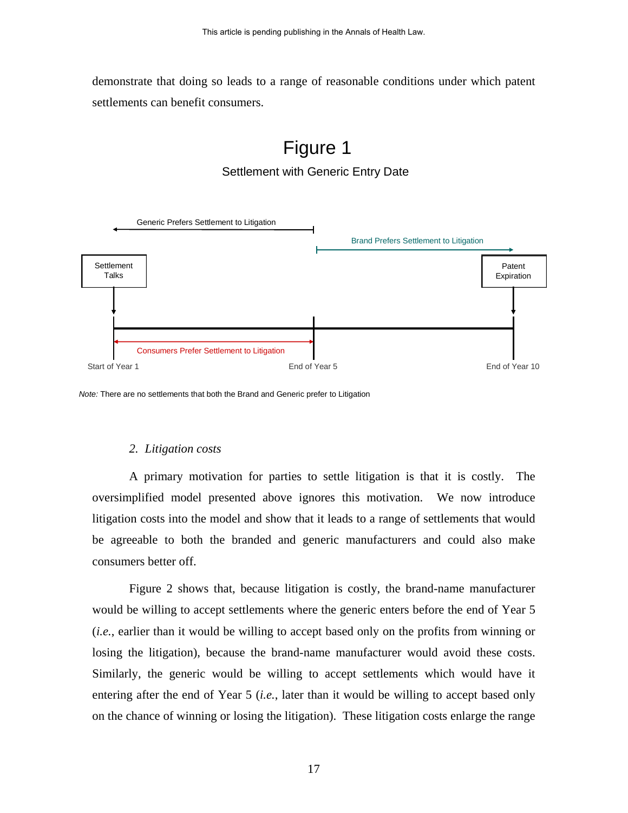demonstrate that doing so leads to a range of reasonable conditions under which patent settlements can benefit consumers.





*Note:* There are no settlements that both the Brand and Generic prefer to Litigation

#### *2. Litigation costs*

A primary motivation for parties to settle litigation is that it is costly. The oversimplified model presented above ignores this motivation. We now introduce litigation costs into the model and show that it leads to a range of settlements that would be agreeable to both the branded and generic manufacturers and could also make consumers better off.

Figure 2 shows that, because litigation is costly, the brand-name manufacturer would be willing to accept settlements where the generic enters before the end of Year 5 (*i.e.*, earlier than it would be willing to accept based only on the profits from winning or losing the litigation), because the brand-name manufacturer would avoid these costs. Similarly, the generic would be willing to accept settlements which would have it entering after the end of Year 5 (*i.e.*, later than it would be willing to accept based only on the chance of winning or losing the litigation). These litigation costs enlarge the range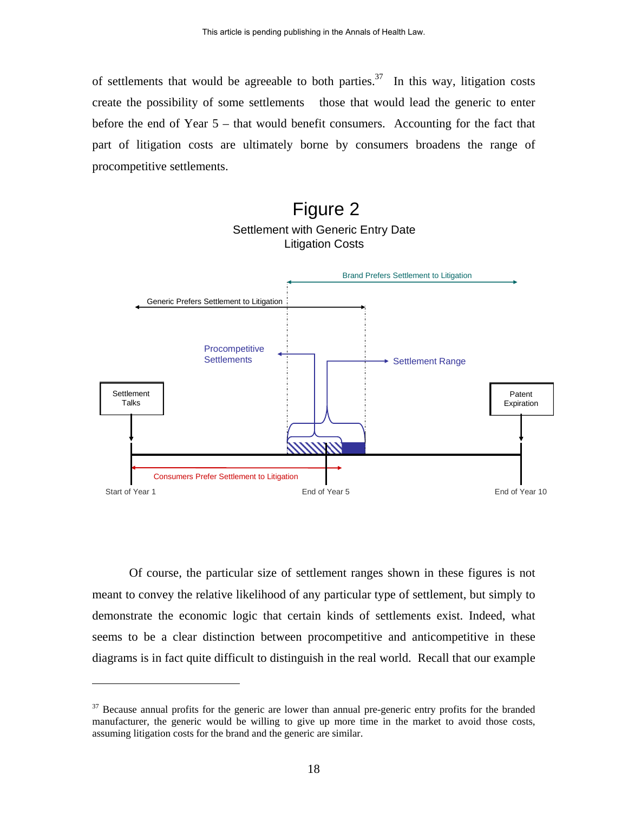of settlements that would be agreeable to both parties.<sup>37</sup> In this way, litigation costs create the possibility of some settlements those that would lead the generic to enter before the end of Year 5 – that would benefit consumers. Accounting for the fact that part of litigation costs are ultimately borne by consumers broadens the range of procompetitive settlements.



Of course, the particular size of settlement ranges shown in these figures is not meant to convey the relative likelihood of any particular type of settlement, but simply to demonstrate the economic logic that certain kinds of settlements exist. Indeed, what seems to be a clear distinction between procompetitive and anticompetitive in these diagrams is in fact quite difficult to distinguish in the real world. Recall that our example

<sup>&</sup>lt;sup>37</sup> Because annual profits for the generic are lower than annual pre-generic entry profits for the branded manufacturer, the generic would be willing to give up more time in the market to avoid those costs, assuming litigation costs for the brand and the generic are similar.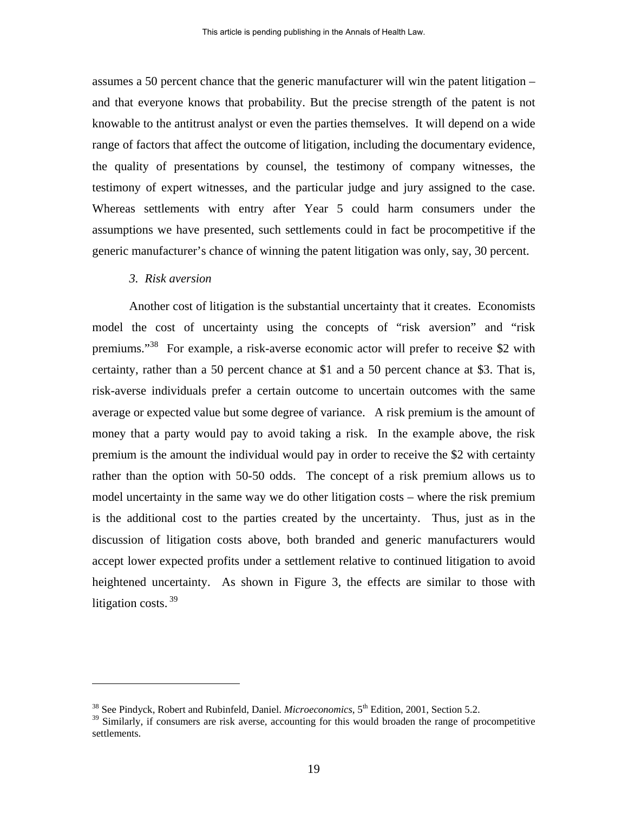assumes a 50 percent chance that the generic manufacturer will win the patent litigation – and that everyone knows that probability. But the precise strength of the patent is not knowable to the antitrust analyst or even the parties themselves. It will depend on a wide range of factors that affect the outcome of litigation, including the documentary evidence, the quality of presentations by counsel, the testimony of company witnesses, the testimony of expert witnesses, and the particular judge and jury assigned to the case. Whereas settlements with entry after Year 5 could harm consumers under the assumptions we have presented, such settlements could in fact be procompetitive if the generic manufacturer's chance of winning the patent litigation was only, say, 30 percent.

#### *3. Risk aversion*

<u>.</u>

Another cost of litigation is the substantial uncertainty that it creates. Economists model the cost of uncertainty using the concepts of "risk aversion" and "risk premiums."<sup>38</sup> For example, a risk-averse economic actor will prefer to receive \$2 with certainty, rather than a 50 percent chance at \$1 and a 50 percent chance at \$3. That is, risk-averse individuals prefer a certain outcome to uncertain outcomes with the same average or expected value but some degree of variance. A risk premium is the amount of money that a party would pay to avoid taking a risk. In the example above, the risk premium is the amount the individual would pay in order to receive the \$2 with certainty rather than the option with 50-50 odds. The concept of a risk premium allows us to model uncertainty in the same way we do other litigation costs – where the risk premium is the additional cost to the parties created by the uncertainty. Thus, just as in the discussion of litigation costs above, both branded and generic manufacturers would accept lower expected profits under a settlement relative to continued litigation to avoid heightened uncertainty. As shown in Figure 3, the effects are similar to those with litigation costs.  $39$ 

<sup>&</sup>lt;sup>38</sup> See Pindyck, Robert and Rubinfeld, Daniel. *Microeconomics*, 5<sup>th</sup> Edition, 2001, Section 5.2.

<sup>&</sup>lt;sup>39</sup> Similarly, if consumers are risk averse, accounting for this would broaden the range of procompetitive settlements.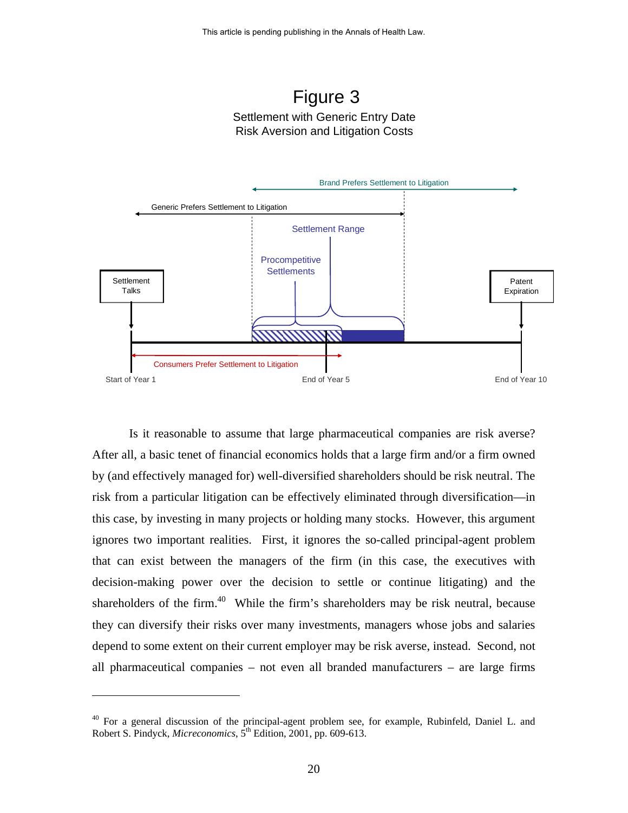



Is it reasonable to assume that large pharmaceutical companies are risk averse? After all, a basic tenet of financial economics holds that a large firm and/or a firm owned by (and effectively managed for) well-diversified shareholders should be risk neutral. The risk from a particular litigation can be effectively eliminated through diversification—in this case, by investing in many projects or holding many stocks. However, this argument ignores two important realities. First, it ignores the so-called principal-agent problem that can exist between the managers of the firm (in this case, the executives with decision-making power over the decision to settle or continue litigating) and the shareholders of the firm.<sup>40</sup> While the firm's shareholders may be risk neutral, because they can diversify their risks over many investments, managers whose jobs and salaries depend to some extent on their current employer may be risk averse, instead. Second, not all pharmaceutical companies – not even all branded manufacturers – are large firms

<sup>&</sup>lt;sup>40</sup> For a general discussion of the principal-agent problem see, for example, Rubinfeld, Daniel L. and Robert S. Pindyck, *Micreconomics*, 5<sup>th</sup> Edition, 2001, pp. 609-613.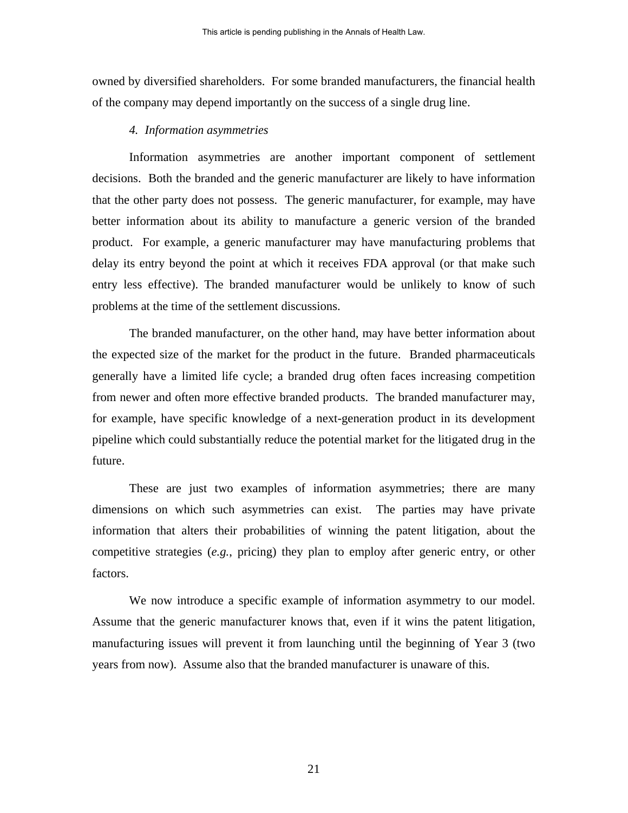owned by diversified shareholders. For some branded manufacturers, the financial health of the company may depend importantly on the success of a single drug line.

#### *4. Information asymmetries*

Information asymmetries are another important component of settlement decisions. Both the branded and the generic manufacturer are likely to have information that the other party does not possess. The generic manufacturer, for example, may have better information about its ability to manufacture a generic version of the branded product. For example, a generic manufacturer may have manufacturing problems that delay its entry beyond the point at which it receives FDA approval (or that make such entry less effective). The branded manufacturer would be unlikely to know of such problems at the time of the settlement discussions.

The branded manufacturer, on the other hand, may have better information about the expected size of the market for the product in the future. Branded pharmaceuticals generally have a limited life cycle; a branded drug often faces increasing competition from newer and often more effective branded products. The branded manufacturer may, for example, have specific knowledge of a next-generation product in its development pipeline which could substantially reduce the potential market for the litigated drug in the future.

These are just two examples of information asymmetries; there are many dimensions on which such asymmetries can exist. The parties may have private information that alters their probabilities of winning the patent litigation, about the competitive strategies (*e.g.*, pricing) they plan to employ after generic entry, or other factors.

We now introduce a specific example of information asymmetry to our model. Assume that the generic manufacturer knows that, even if it wins the patent litigation, manufacturing issues will prevent it from launching until the beginning of Year 3 (two years from now). Assume also that the branded manufacturer is unaware of this.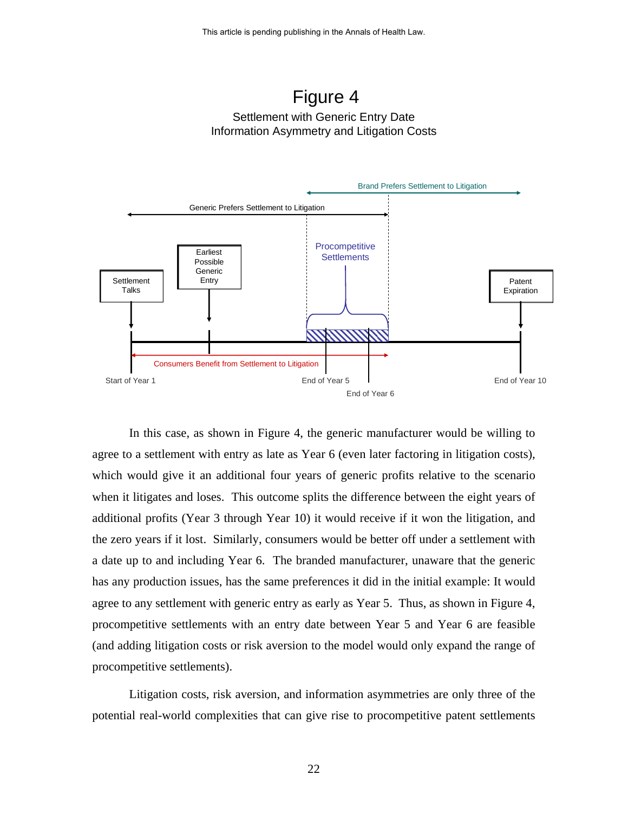



In this case, as shown in Figure 4, the generic manufacturer would be willing to agree to a settlement with entry as late as Year 6 (even later factoring in litigation costs), which would give it an additional four years of generic profits relative to the scenario when it litigates and loses. This outcome splits the difference between the eight years of additional profits (Year 3 through Year 10) it would receive if it won the litigation, and the zero years if it lost. Similarly, consumers would be better off under a settlement with a date up to and including Year 6. The branded manufacturer, unaware that the generic has any production issues, has the same preferences it did in the initial example: It would agree to any settlement with generic entry as early as Year 5. Thus, as shown in Figure 4, procompetitive settlements with an entry date between Year 5 and Year 6 are feasible (and adding litigation costs or risk aversion to the model would only expand the range of procompetitive settlements).

Litigation costs, risk aversion, and information asymmetries are only three of the potential real-world complexities that can give rise to procompetitive patent settlements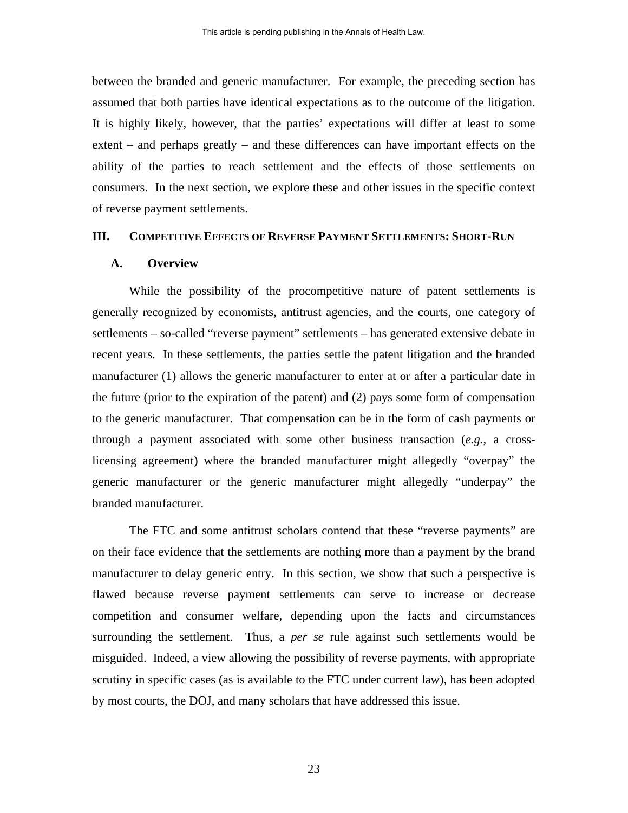between the branded and generic manufacturer. For example, the preceding section has assumed that both parties have identical expectations as to the outcome of the litigation. It is highly likely, however, that the parties' expectations will differ at least to some extent – and perhaps greatly – and these differences can have important effects on the ability of the parties to reach settlement and the effects of those settlements on consumers. In the next section, we explore these and other issues in the specific context of reverse payment settlements.

#### **III. COMPETITIVE EFFECTS OF REVERSE PAYMENT SETTLEMENTS: SHORT-RUN**

#### **A. Overview**

While the possibility of the procompetitive nature of patent settlements is generally recognized by economists, antitrust agencies, and the courts, one category of settlements – so-called "reverse payment" settlements – has generated extensive debate in recent years. In these settlements, the parties settle the patent litigation and the branded manufacturer (1) allows the generic manufacturer to enter at or after a particular date in the future (prior to the expiration of the patent) and (2) pays some form of compensation to the generic manufacturer. That compensation can be in the form of cash payments or through a payment associated with some other business transaction (*e.g.*, a crosslicensing agreement) where the branded manufacturer might allegedly "overpay" the generic manufacturer or the generic manufacturer might allegedly "underpay" the branded manufacturer.

The FTC and some antitrust scholars contend that these "reverse payments" are on their face evidence that the settlements are nothing more than a payment by the brand manufacturer to delay generic entry. In this section, we show that such a perspective is flawed because reverse payment settlements can serve to increase or decrease competition and consumer welfare, depending upon the facts and circumstances surrounding the settlement. Thus, a *per se* rule against such settlements would be misguided. Indeed, a view allowing the possibility of reverse payments, with appropriate scrutiny in specific cases (as is available to the FTC under current law), has been adopted by most courts, the DOJ, and many scholars that have addressed this issue.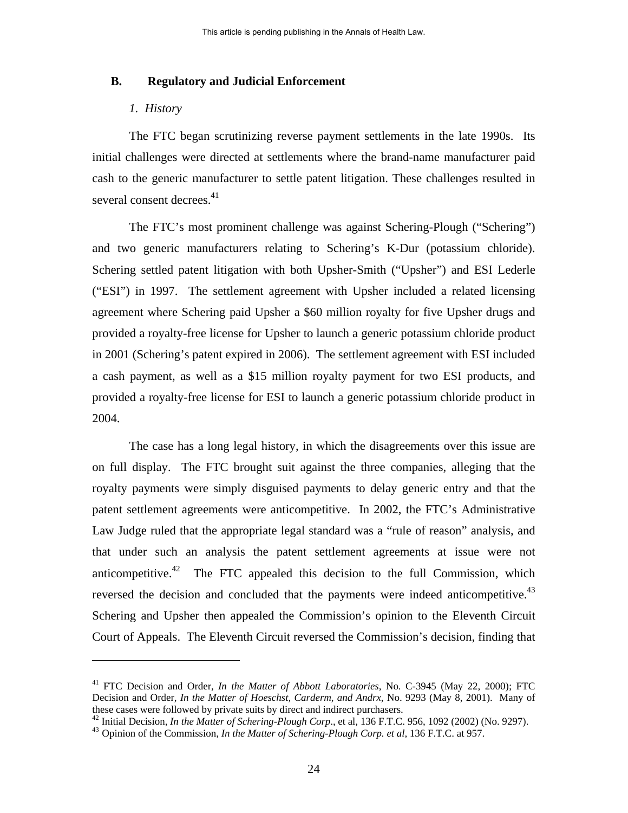#### **B. Regulatory and Judicial Enforcement**

#### *1. History*

1

The FTC began scrutinizing reverse payment settlements in the late 1990s. Its initial challenges were directed at settlements where the brand-name manufacturer paid cash to the generic manufacturer to settle patent litigation. These challenges resulted in several consent decrees.<sup>41</sup>

The FTC's most prominent challenge was against Schering-Plough ("Schering") and two generic manufacturers relating to Schering's K-Dur (potassium chloride). Schering settled patent litigation with both Upsher-Smith ("Upsher") and ESI Lederle ("ESI") in 1997. The settlement agreement with Upsher included a related licensing agreement where Schering paid Upsher a \$60 million royalty for five Upsher drugs and provided a royalty-free license for Upsher to launch a generic potassium chloride product in 2001 (Schering's patent expired in 2006). The settlement agreement with ESI included a cash payment, as well as a \$15 million royalty payment for two ESI products, and provided a royalty-free license for ESI to launch a generic potassium chloride product in 2004.

The case has a long legal history, in which the disagreements over this issue are on full display. The FTC brought suit against the three companies, alleging that the royalty payments were simply disguised payments to delay generic entry and that the patent settlement agreements were anticompetitive. In 2002, the FTC's Administrative Law Judge ruled that the appropriate legal standard was a "rule of reason" analysis, and that under such an analysis the patent settlement agreements at issue were not anticompetitive.<sup>42</sup> The FTC appealed this decision to the full Commission, which reversed the decision and concluded that the payments were indeed anticompetitive.<sup>43</sup> Schering and Upsher then appealed the Commission's opinion to the Eleventh Circuit Court of Appeals. The Eleventh Circuit reversed the Commission's decision, finding that

<sup>41</sup> FTC Decision and Order, *In the Matter of Abbott Laboratories*, No. C-3945 (May 22, 2000); FTC Decision and Order, *In the Matter of Hoeschst, Carderm, and Andrx*, No. 9293 (May 8, 2001). Many of these cases were followed by private suits by direct and indirect purchasers.

<sup>&</sup>lt;sup>42</sup> Initial Decision, *In the Matter of Schering-Plough Corp.*, et al, 136 F.T.C. 956, 1092 (2002) (No. 9297).<br><sup>43</sup> Opinion of the Commission, *In the Matter of Schering-Plough Corp. et al*, 136 F.T.C. at 957.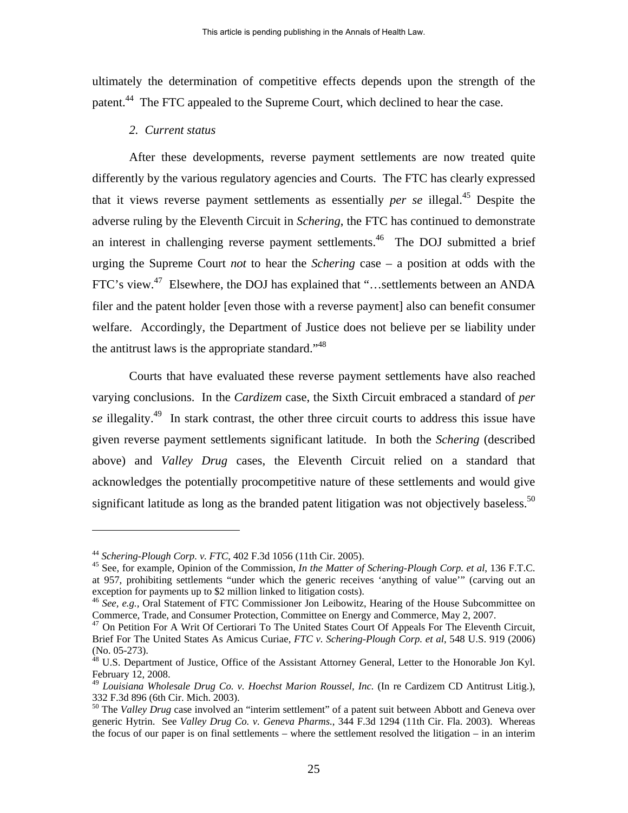ultimately the determination of competitive effects depends upon the strength of the patent.<sup>44</sup> The FTC appealed to the Supreme Court, which declined to hear the case.

#### *2. Current status*

After these developments, reverse payment settlements are now treated quite differently by the various regulatory agencies and Courts. The FTC has clearly expressed that it views reverse payment settlements as essentially *per se* illegal.45 Despite the adverse ruling by the Eleventh Circuit in *Schering*, the FTC has continued to demonstrate an interest in challenging reverse payment settlements.<sup>46</sup> The DOJ submitted a brief urging the Supreme Court *not* to hear the *Schering* case – a position at odds with the FTC's view.47 Elsewhere, the DOJ has explained that "…settlements between an ANDA filer and the patent holder [even those with a reverse payment] also can benefit consumer welfare. Accordingly, the Department of Justice does not believe per se liability under the antitrust laws is the appropriate standard."<sup>48</sup>

Courts that have evaluated these reverse payment settlements have also reached varying conclusions. In the *Cardizem* case, the Sixth Circuit embraced a standard of *per se* illegality.49 In stark contrast, the other three circuit courts to address this issue have given reverse payment settlements significant latitude. In both the *Schering* (described above) and *Valley Drug* cases, the Eleventh Circuit relied on a standard that acknowledges the potentially procompetitive nature of these settlements and would give significant latitude as long as the branded patent litigation was not objectively baseless.<sup>50</sup>

1

<sup>44</sup> *Schering-Plough Corp. v. FTC*, 402 F.3d 1056 (11th Cir. 2005). 45 See, for example, Opinion of the Commission, *In the Matter of Schering-Plough Corp. et al*, 136 F.T.C. at 957, prohibiting settlements "under which the generic receives 'anything of value'" (carving out an exception for payments up to \$2 million linked to litigation costs).

<sup>&</sup>lt;sup>46</sup> See, e.g., Oral Statement of FTC Commissioner Jon Leibowitz, Hearing of the House Subcommittee on Commerce, Trade, and Consumer Protection, Committee on Energy and Commerce, May 2, 2007.

<sup>&</sup>lt;sup>47</sup> On Petition For A Writ Of Certiorari To The United States Court Of Appeals For The Eleventh Circuit, Brief For The United States As Amicus Curiae, *FTC v. Schering-Plough Corp. et al*, 548 U.S. 919 (2006) (No. 05-273).

 $^{48}$  U.S. Department of Justice, Office of the Assistant Attorney General, Letter to the Honorable Jon Kyl. February 12, 2008.

<sup>49</sup> *Louisiana Wholesale Drug Co. v. Hoechst Marion Roussel, Inc.* (In re Cardizem CD Antitrust Litig.), 332 F.3d 896 (6th Cir. Mich. 2003).

<sup>&</sup>lt;sup>50</sup> The *Valley Drug* case involved an "interim settlement" of a patent suit between Abbott and Geneva over generic Hytrin. See *Valley Drug Co. v. Geneva Pharms.*, 344 F.3d 1294 (11th Cir. Fla. 2003). Whereas the focus of our paper is on final settlements – where the settlement resolved the litigation – in an interim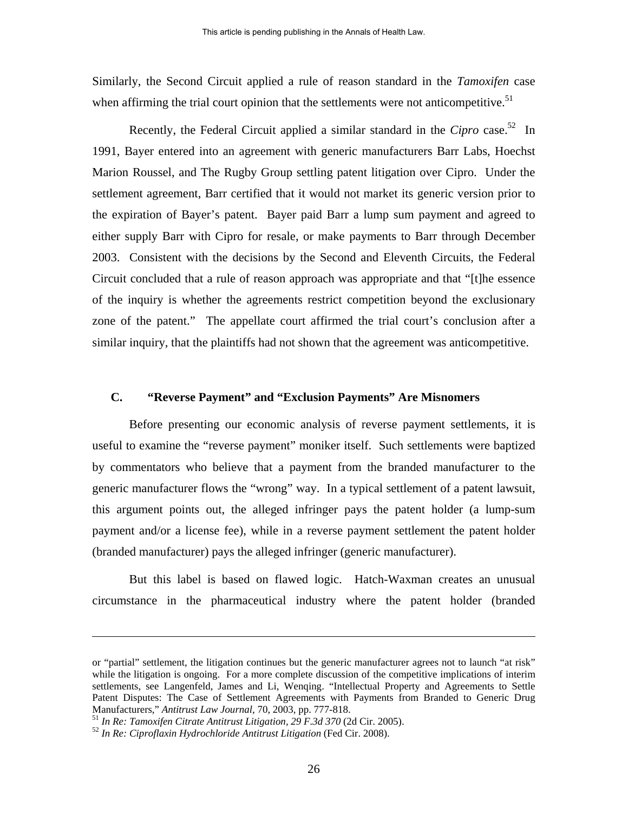Similarly, the Second Circuit applied a rule of reason standard in the *Tamoxifen* case when affirming the trial court opinion that the settlements were not anticompetitive.<sup>51</sup>

Recently, the Federal Circuit applied a similar standard in the *Cipro* case.<sup>52</sup> In 1991, Bayer entered into an agreement with generic manufacturers Barr Labs, Hoechst Marion Roussel, and The Rugby Group settling patent litigation over Cipro. Under the settlement agreement, Barr certified that it would not market its generic version prior to the expiration of Bayer's patent. Bayer paid Barr a lump sum payment and agreed to either supply Barr with Cipro for resale, or make payments to Barr through December 2003. Consistent with the decisions by the Second and Eleventh Circuits, the Federal Circuit concluded that a rule of reason approach was appropriate and that "[t]he essence of the inquiry is whether the agreements restrict competition beyond the exclusionary zone of the patent." The appellate court affirmed the trial court's conclusion after a similar inquiry, that the plaintiffs had not shown that the agreement was anticompetitive.

## **C. "Reverse Payment" and "Exclusion Payments" Are Misnomers**

Before presenting our economic analysis of reverse payment settlements, it is useful to examine the "reverse payment" moniker itself. Such settlements were baptized by commentators who believe that a payment from the branded manufacturer to the generic manufacturer flows the "wrong" way. In a typical settlement of a patent lawsuit, this argument points out, the alleged infringer pays the patent holder (a lump-sum payment and/or a license fee), while in a reverse payment settlement the patent holder (branded manufacturer) pays the alleged infringer (generic manufacturer).

But this label is based on flawed logic. Hatch-Waxman creates an unusual circumstance in the pharmaceutical industry where the patent holder (branded

1

or "partial" settlement, the litigation continues but the generic manufacturer agrees not to launch "at risk" while the litigation is ongoing. For a more complete discussion of the competitive implications of interim settlements, see Langenfeld, James and Li, Wenqing. "Intellectual Property and Agreements to Settle Patent Disputes: The Case of Settlement Agreements with Payments from Branded to Generic Drug Manufacturers," Antitrust Law Journal, 70, 2003, pp. 777-818.<br><sup>51</sup> In Re: Tamoxifen Citrate Antitrust Litigation, 29 F.3d 370 (2d Cir. 2005).<br><sup>52</sup> In Re: Ciproflaxin Hydrochloride Antitrust Litigation (Fed Cir. 2008).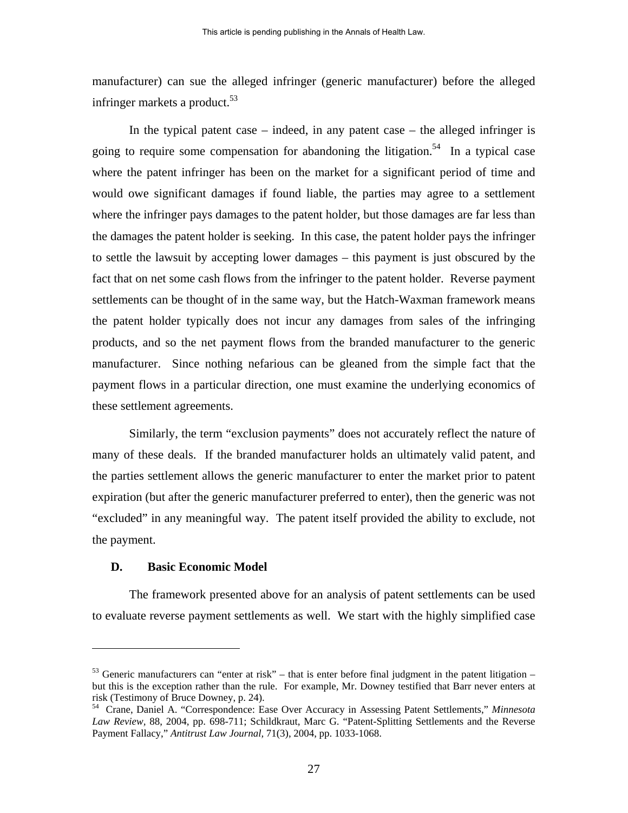manufacturer) can sue the alleged infringer (generic manufacturer) before the alleged infringer markets a product. $53$ 

In the typical patent case – indeed, in any patent case – the alleged infringer is going to require some compensation for abandoning the litigation.<sup>54</sup> In a typical case where the patent infringer has been on the market for a significant period of time and would owe significant damages if found liable, the parties may agree to a settlement where the infringer pays damages to the patent holder, but those damages are far less than the damages the patent holder is seeking. In this case, the patent holder pays the infringer to settle the lawsuit by accepting lower damages – this payment is just obscured by the fact that on net some cash flows from the infringer to the patent holder. Reverse payment settlements can be thought of in the same way, but the Hatch-Waxman framework means the patent holder typically does not incur any damages from sales of the infringing products, and so the net payment flows from the branded manufacturer to the generic manufacturer. Since nothing nefarious can be gleaned from the simple fact that the payment flows in a particular direction, one must examine the underlying economics of these settlement agreements.

Similarly, the term "exclusion payments" does not accurately reflect the nature of many of these deals. If the branded manufacturer holds an ultimately valid patent, and the parties settlement allows the generic manufacturer to enter the market prior to patent expiration (but after the generic manufacturer preferred to enter), then the generic was not "excluded" in any meaningful way. The patent itself provided the ability to exclude, not the payment.

#### **D. Basic Economic Model**

 $\overline{a}$ 

The framework presented above for an analysis of patent settlements can be used to evaluate reverse payment settlements as well. We start with the highly simplified case

<sup>&</sup>lt;sup>53</sup> Generic manufacturers can "enter at risk" – that is enter before final judgment in the patent litigation – but this is the exception rather than the rule. For example, Mr. Downey testified that Barr never enters at risk (Testimony of Bruce Downey, p. 24).

<sup>54</sup> Crane, Daniel A. "Correspondence: Ease Over Accuracy in Assessing Patent Settlements," *Minnesota Law Review,* 88, 2004, pp. 698-711; Schildkraut, Marc G. "Patent-Splitting Settlements and the Reverse Payment Fallacy," *Antitrust Law Journal,* 71(3), 2004, pp. 1033-1068.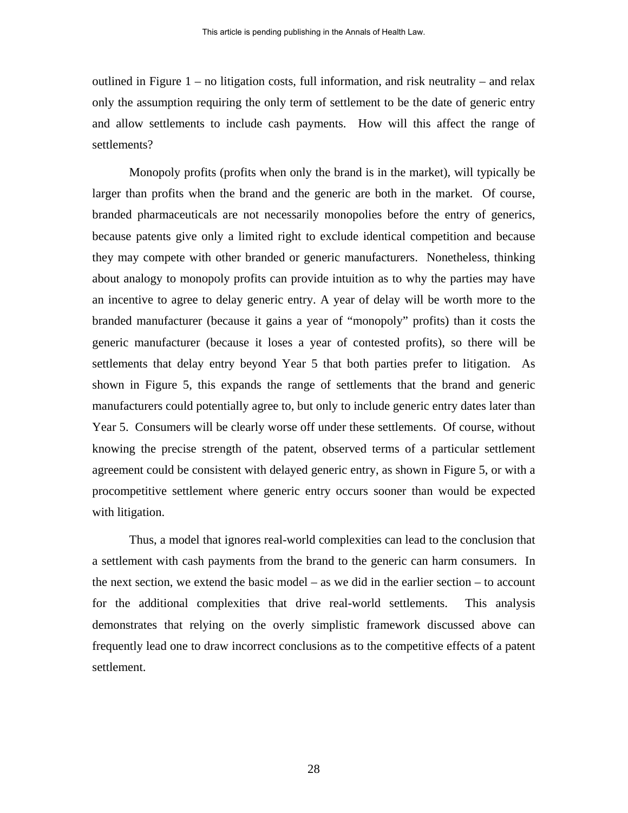outlined in Figure  $1 -$  no litigation costs, full information, and risk neutrality – and relax only the assumption requiring the only term of settlement to be the date of generic entry and allow settlements to include cash payments. How will this affect the range of settlements?

Monopoly profits (profits when only the brand is in the market), will typically be larger than profits when the brand and the generic are both in the market. Of course, branded pharmaceuticals are not necessarily monopolies before the entry of generics, because patents give only a limited right to exclude identical competition and because they may compete with other branded or generic manufacturers. Nonetheless, thinking about analogy to monopoly profits can provide intuition as to why the parties may have an incentive to agree to delay generic entry. A year of delay will be worth more to the branded manufacturer (because it gains a year of "monopoly" profits) than it costs the generic manufacturer (because it loses a year of contested profits), so there will be settlements that delay entry beyond Year 5 that both parties prefer to litigation. As shown in Figure 5, this expands the range of settlements that the brand and generic manufacturers could potentially agree to, but only to include generic entry dates later than Year 5. Consumers will be clearly worse off under these settlements. Of course, without knowing the precise strength of the patent, observed terms of a particular settlement agreement could be consistent with delayed generic entry, as shown in Figure 5, or with a procompetitive settlement where generic entry occurs sooner than would be expected with litigation.

Thus, a model that ignores real-world complexities can lead to the conclusion that a settlement with cash payments from the brand to the generic can harm consumers. In the next section, we extend the basic model – as we did in the earlier section – to account for the additional complexities that drive real-world settlements. This analysis demonstrates that relying on the overly simplistic framework discussed above can frequently lead one to draw incorrect conclusions as to the competitive effects of a patent settlement.

28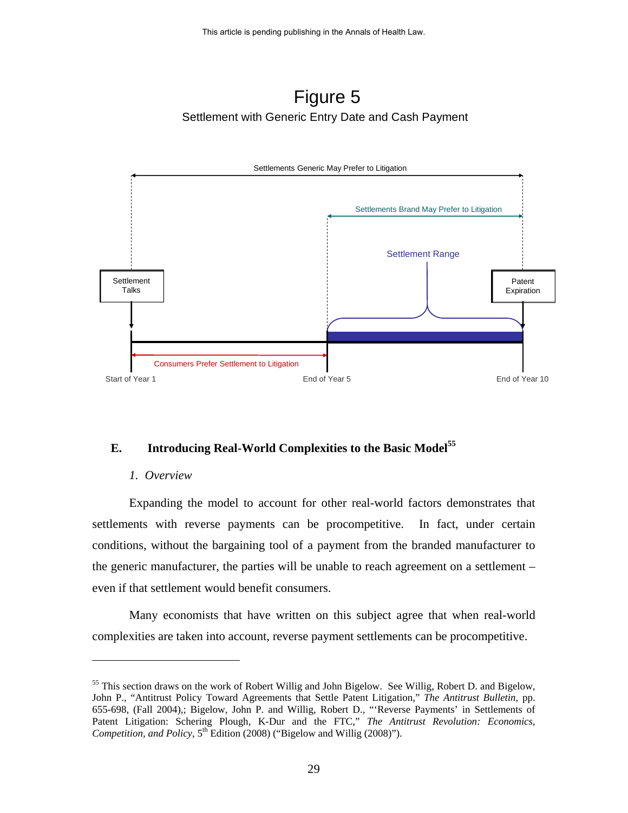# Figure 5 Settlement with Generic Entry Date and Cash Payment



## **E. Introducing Real-World Complexities to the Basic Model55**

#### *1. Overview*

 $\overline{a}$ 

Expanding the model to account for other real-world factors demonstrates that settlements with reverse payments can be procompetitive. In fact, under certain conditions, without the bargaining tool of a payment from the branded manufacturer to the generic manufacturer, the parties will be unable to reach agreement on a settlement – even if that settlement would benefit consumers.

Many economists that have written on this subject agree that when real-world complexities are taken into account, reverse payment settlements can be procompetitive.

<sup>55</sup> This section draws on the work of Robert Willig and John Bigelow. See Willig, Robert D. and Bigelow, John P., "Antitrust Policy Toward Agreements that Settle Patent Litigation," *The Antitrust Bulletin*, pp. 655-698, (Fall 2004),; Bigelow, John P. and Willig, Robert D., "'Reverse Payments' in Settlements of Patent Litigation: Schering Plough, K-Dur and the FTC," *The Antitrust Revolution: Economics, Competition, and Policy*,  $5<sup>th</sup>$  Edition (2008) ("Bigelow and Willig (2008)").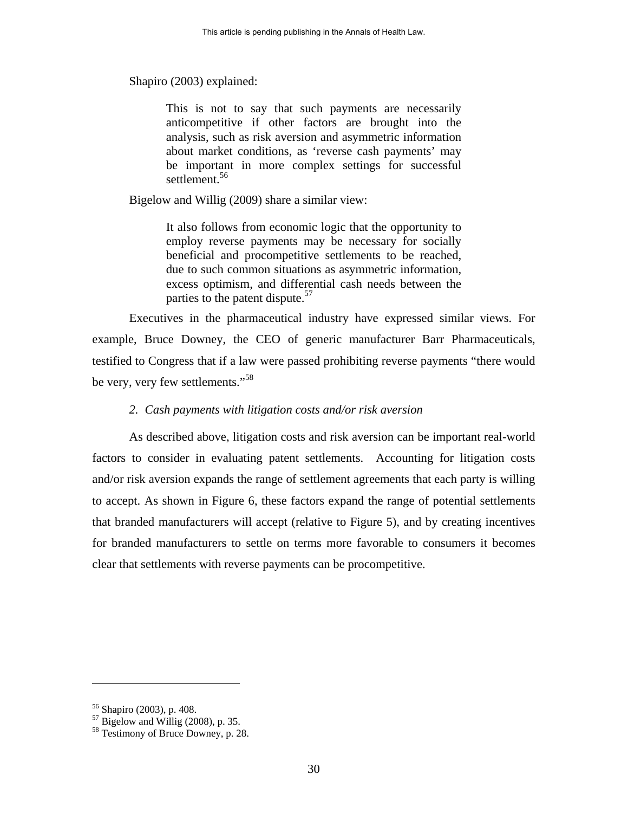Shapiro (2003) explained:

This is not to say that such payments are necessarily anticompetitive if other factors are brought into the analysis, such as risk aversion and asymmetric information about market conditions, as 'reverse cash payments' may be important in more complex settings for successful settlement.<sup>56</sup>

Bigelow and Willig (2009) share a similar view:

It also follows from economic logic that the opportunity to employ reverse payments may be necessary for socially beneficial and procompetitive settlements to be reached, due to such common situations as asymmetric information, excess optimism, and differential cash needs between the parties to the patent dispute.<sup>57</sup>

Executives in the pharmaceutical industry have expressed similar views. For example, Bruce Downey, the CEO of generic manufacturer Barr Pharmaceuticals, testified to Congress that if a law were passed prohibiting reverse payments "there would be very, very few settlements."<sup>58</sup>

## *2. Cash payments with litigation costs and/or risk aversion*

As described above, litigation costs and risk aversion can be important real-world factors to consider in evaluating patent settlements. Accounting for litigation costs and/or risk aversion expands the range of settlement agreements that each party is willing to accept. As shown in Figure 6, these factors expand the range of potential settlements that branded manufacturers will accept (relative to Figure 5), and by creating incentives for branded manufacturers to settle on terms more favorable to consumers it becomes clear that settlements with reverse payments can be procompetitive.

<u>.</u>

<sup>56</sup> Shapiro (2003), p. 408.

 $57$  Bigelow and Willig (2008), p. 35.

<sup>&</sup>lt;sup>58</sup> Testimony of Bruce Downey, p. 28.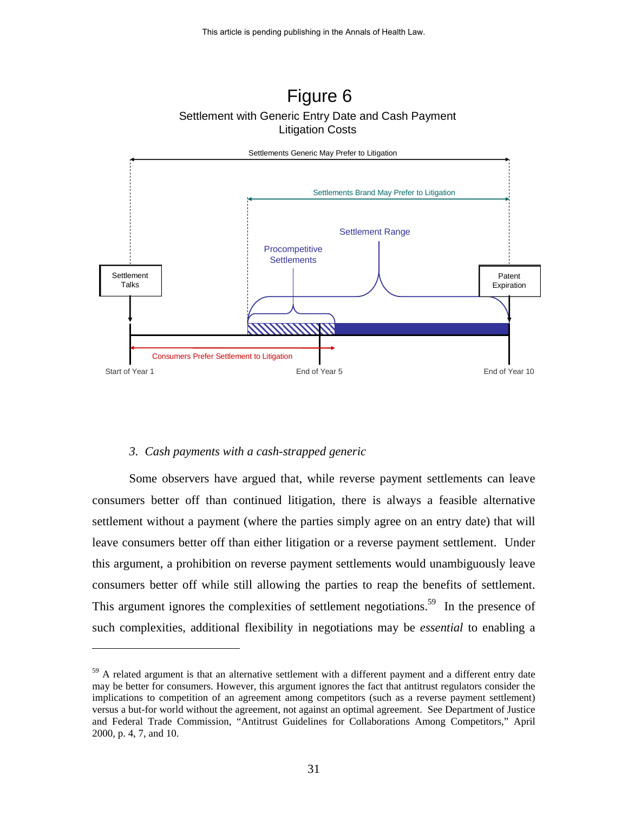## Figure 6 Settlement with Generic Entry Date and Cash Payment Litigation Costs



#### *3. Cash payments with a cash-strapped generic*

<u>.</u>

Some observers have argued that, while reverse payment settlements can leave consumers better off than continued litigation, there is always a feasible alternative settlement without a payment (where the parties simply agree on an entry date) that will leave consumers better off than either litigation or a reverse payment settlement. Under this argument, a prohibition on reverse payment settlements would unambiguously leave consumers better off while still allowing the parties to reap the benefits of settlement. This argument ignores the complexities of settlement negotiations.<sup>59</sup> In the presence of such complexities, additional flexibility in negotiations may be *essential* to enabling a

 $59$  A related argument is that an alternative settlement with a different payment and a different entry date may be better for consumers. However, this argument ignores the fact that antitrust regulators consider the implications to competition of an agreement among competitors (such as a reverse payment settlement) versus a but-for world without the agreement, not against an optimal agreement. See Department of Justice and Federal Trade Commission, "Antitrust Guidelines for Collaborations Among Competitors," April 2000, p. 4, 7, and 10.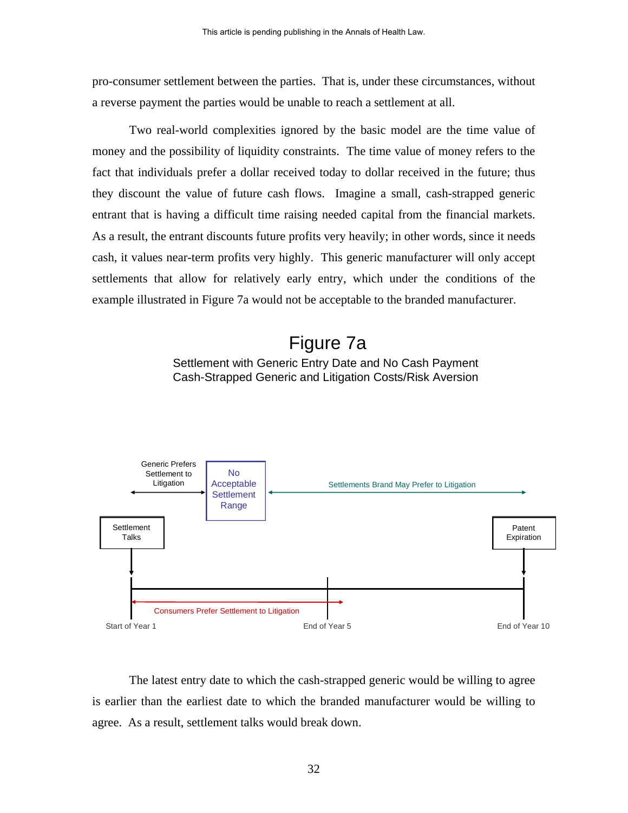pro-consumer settlement between the parties. That is, under these circumstances, without a reverse payment the parties would be unable to reach a settlement at all.

Two real-world complexities ignored by the basic model are the time value of money and the possibility of liquidity constraints. The time value of money refers to the fact that individuals prefer a dollar received today to dollar received in the future; thus they discount the value of future cash flows. Imagine a small, cash-strapped generic entrant that is having a difficult time raising needed capital from the financial markets. As a result, the entrant discounts future profits very heavily; in other words, since it needs cash, it values near-term profits very highly. This generic manufacturer will only accept settlements that allow for relatively early entry, which under the conditions of the example illustrated in Figure 7a would not be acceptable to the branded manufacturer.

# Figure 7a

Settlement with Generic Entry Date and No Cash Payment Cash-Strapped Generic and Litigation Costs/Risk Aversion



 The latest entry date to which the cash-strapped generic would be willing to agree is earlier than the earliest date to which the branded manufacturer would be willing to agree. As a result, settlement talks would break down.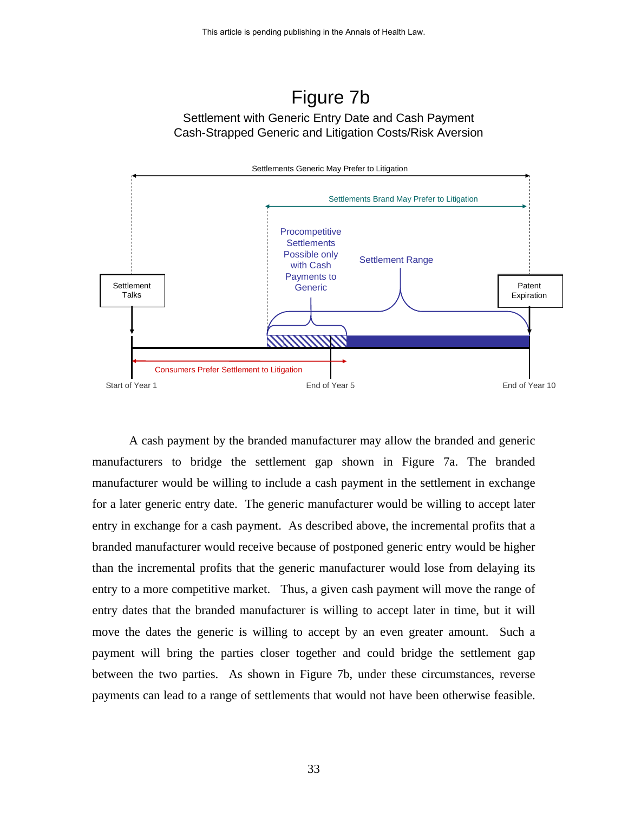# Figure 7b

## Settlement with Generic Entry Date and Cash Payment Cash-Strapped Generic and Litigation Costs/Risk Aversion



 A cash payment by the branded manufacturer may allow the branded and generic manufacturers to bridge the settlement gap shown in Figure 7a. The branded manufacturer would be willing to include a cash payment in the settlement in exchange for a later generic entry date. The generic manufacturer would be willing to accept later entry in exchange for a cash payment. As described above, the incremental profits that a branded manufacturer would receive because of postponed generic entry would be higher than the incremental profits that the generic manufacturer would lose from delaying its entry to a more competitive market. Thus, a given cash payment will move the range of entry dates that the branded manufacturer is willing to accept later in time, but it will move the dates the generic is willing to accept by an even greater amount. Such a payment will bring the parties closer together and could bridge the settlement gap between the two parties. As shown in Figure 7b, under these circumstances, reverse payments can lead to a range of settlements that would not have been otherwise feasible.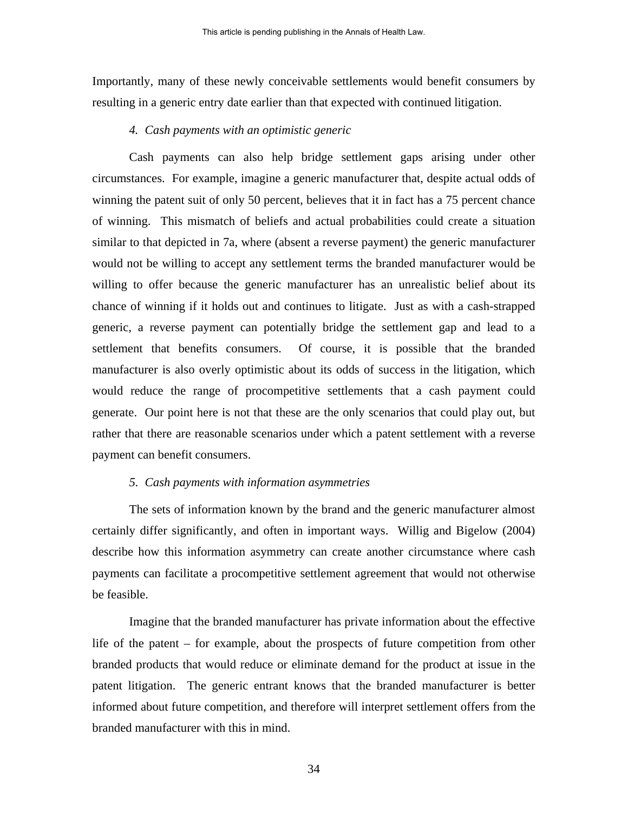Importantly, many of these newly conceivable settlements would benefit consumers by resulting in a generic entry date earlier than that expected with continued litigation.

#### *4. Cash payments with an optimistic generic*

Cash payments can also help bridge settlement gaps arising under other circumstances. For example, imagine a generic manufacturer that, despite actual odds of winning the patent suit of only 50 percent, believes that it in fact has a 75 percent chance of winning. This mismatch of beliefs and actual probabilities could create a situation similar to that depicted in 7a, where (absent a reverse payment) the generic manufacturer would not be willing to accept any settlement terms the branded manufacturer would be willing to offer because the generic manufacturer has an unrealistic belief about its chance of winning if it holds out and continues to litigate. Just as with a cash-strapped generic, a reverse payment can potentially bridge the settlement gap and lead to a settlement that benefits consumers. Of course, it is possible that the branded manufacturer is also overly optimistic about its odds of success in the litigation, which would reduce the range of procompetitive settlements that a cash payment could generate. Our point here is not that these are the only scenarios that could play out, but rather that there are reasonable scenarios under which a patent settlement with a reverse payment can benefit consumers.

#### *5. Cash payments with information asymmetries*

The sets of information known by the brand and the generic manufacturer almost certainly differ significantly, and often in important ways. Willig and Bigelow (2004) describe how this information asymmetry can create another circumstance where cash payments can facilitate a procompetitive settlement agreement that would not otherwise be feasible.

Imagine that the branded manufacturer has private information about the effective life of the patent – for example, about the prospects of future competition from other branded products that would reduce or eliminate demand for the product at issue in the patent litigation. The generic entrant knows that the branded manufacturer is better informed about future competition, and therefore will interpret settlement offers from the branded manufacturer with this in mind.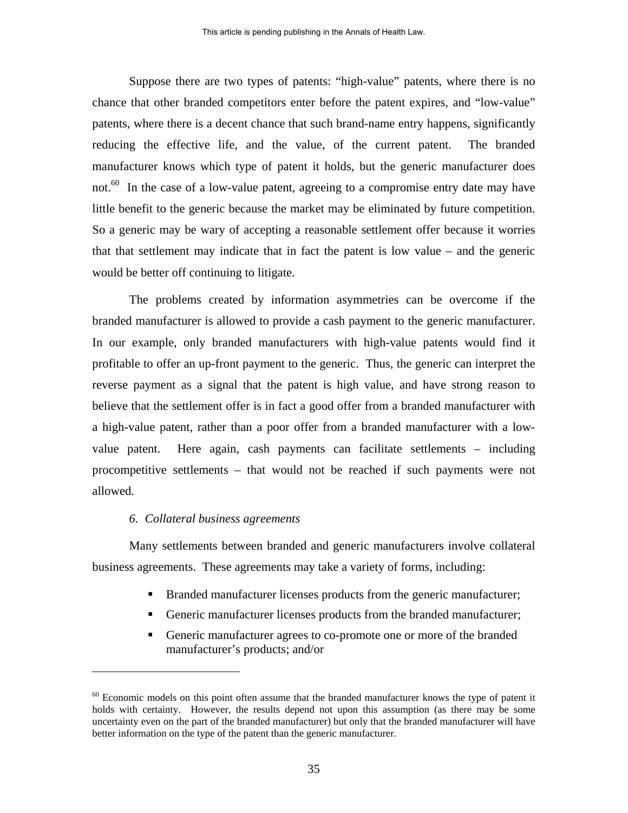Suppose there are two types of patents: "high-value" patents, where there is no chance that other branded competitors enter before the patent expires, and "low-value" patents, where there is a decent chance that such brand-name entry happens, significantly reducing the effective life, and the value, of the current patent. The branded manufacturer knows which type of patent it holds, but the generic manufacturer does not.60 In the case of a low-value patent, agreeing to a compromise entry date may have little benefit to the generic because the market may be eliminated by future competition. So a generic may be wary of accepting a reasonable settlement offer because it worries that that settlement may indicate that in fact the patent is low value – and the generic would be better off continuing to litigate.

The problems created by information asymmetries can be overcome if the branded manufacturer is allowed to provide a cash payment to the generic manufacturer. In our example, only branded manufacturers with high-value patents would find it profitable to offer an up-front payment to the generic. Thus, the generic can interpret the reverse payment as a signal that the patent is high value, and have strong reason to believe that the settlement offer is in fact a good offer from a branded manufacturer with a high-value patent, rather than a poor offer from a branded manufacturer with a lowvalue patent. Here again, cash payments can facilitate settlements – including procompetitive settlements – that would not be reached if such payments were not allowed.

#### *6. Collateral business agreements*

1

Many settlements between branded and generic manufacturers involve collateral business agreements. These agreements may take a variety of forms, including:

- Branded manufacturer licenses products from the generic manufacturer;
- Generic manufacturer licenses products from the branded manufacturer;
- Generic manufacturer agrees to co-promote one or more of the branded manufacturer's products; and/or

 $60$  Economic models on this point often assume that the branded manufacturer knows the type of patent it holds with certainty. However, the results depend not upon this assumption (as there may be some uncertainty even on the part of the branded manufacturer) but only that the branded manufacturer will have better information on the type of the patent than the generic manufacturer.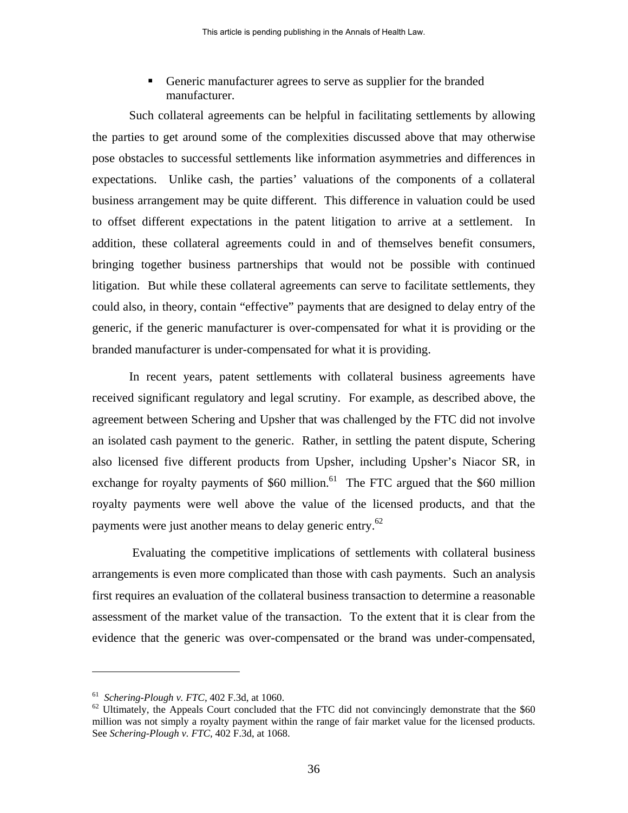Generic manufacturer agrees to serve as supplier for the branded manufacturer.

Such collateral agreements can be helpful in facilitating settlements by allowing the parties to get around some of the complexities discussed above that may otherwise pose obstacles to successful settlements like information asymmetries and differences in expectations. Unlike cash, the parties' valuations of the components of a collateral business arrangement may be quite different. This difference in valuation could be used to offset different expectations in the patent litigation to arrive at a settlement. In addition, these collateral agreements could in and of themselves benefit consumers, bringing together business partnerships that would not be possible with continued litigation. But while these collateral agreements can serve to facilitate settlements, they could also, in theory, contain "effective" payments that are designed to delay entry of the generic, if the generic manufacturer is over-compensated for what it is providing or the branded manufacturer is under-compensated for what it is providing.

In recent years, patent settlements with collateral business agreements have received significant regulatory and legal scrutiny. For example, as described above, the agreement between Schering and Upsher that was challenged by the FTC did not involve an isolated cash payment to the generic. Rather, in settling the patent dispute, Schering also licensed five different products from Upsher, including Upsher's Niacor SR, in exchange for royalty payments of \$60 million.<sup>61</sup> The FTC argued that the \$60 million royalty payments were well above the value of the licensed products, and that the payments were just another means to delay generic entry. $62$ 

 Evaluating the competitive implications of settlements with collateral business arrangements is even more complicated than those with cash payments. Such an analysis first requires an evaluation of the collateral business transaction to determine a reasonable assessment of the market value of the transaction. To the extent that it is clear from the evidence that the generic was over-compensated or the brand was under-compensated,

<sup>&</sup>lt;sup>61</sup> Schering-Plough v. FTC, 402 F.3d, at 1060.<br><sup>62</sup> Ultimately, the Appeals Court concluded that the FTC did not convincingly demonstrate that the \$60 million was not simply a royalty payment within the range of fair market value for the licensed products. See *Schering-Plough v. FTC,* 402 F.3d, at 1068.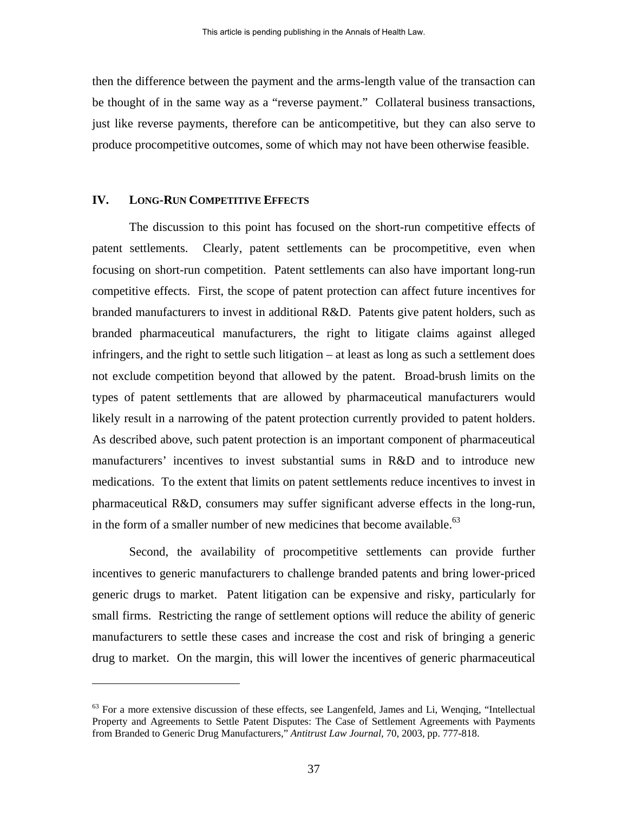then the difference between the payment and the arms-length value of the transaction can be thought of in the same way as a "reverse payment." Collateral business transactions, just like reverse payments, therefore can be anticompetitive, but they can also serve to produce procompetitive outcomes, some of which may not have been otherwise feasible.

## **IV. LONG-RUN COMPETITIVE EFFECTS**

 $\overline{a}$ 

The discussion to this point has focused on the short-run competitive effects of patent settlements. Clearly, patent settlements can be procompetitive, even when focusing on short-run competition. Patent settlements can also have important long-run competitive effects. First, the scope of patent protection can affect future incentives for branded manufacturers to invest in additional R&D. Patents give patent holders, such as branded pharmaceutical manufacturers, the right to litigate claims against alleged infringers, and the right to settle such litigation – at least as long as such a settlement does not exclude competition beyond that allowed by the patent. Broad-brush limits on the types of patent settlements that are allowed by pharmaceutical manufacturers would likely result in a narrowing of the patent protection currently provided to patent holders. As described above, such patent protection is an important component of pharmaceutical manufacturers' incentives to invest substantial sums in R&D and to introduce new medications. To the extent that limits on patent settlements reduce incentives to invest in pharmaceutical R&D, consumers may suffer significant adverse effects in the long-run, in the form of a smaller number of new medicines that become available.<sup>63</sup>

Second, the availability of procompetitive settlements can provide further incentives to generic manufacturers to challenge branded patents and bring lower-priced generic drugs to market. Patent litigation can be expensive and risky, particularly for small firms. Restricting the range of settlement options will reduce the ability of generic manufacturers to settle these cases and increase the cost and risk of bringing a generic drug to market. On the margin, this will lower the incentives of generic pharmaceutical

 $63$  For a more extensive discussion of these effects, see Langenfeld, James and Li, Wenging, "Intellectual Property and Agreements to Settle Patent Disputes: The Case of Settlement Agreements with Payments from Branded to Generic Drug Manufacturers," *Antitrust Law Journal*, 70, 2003, pp. 777-818.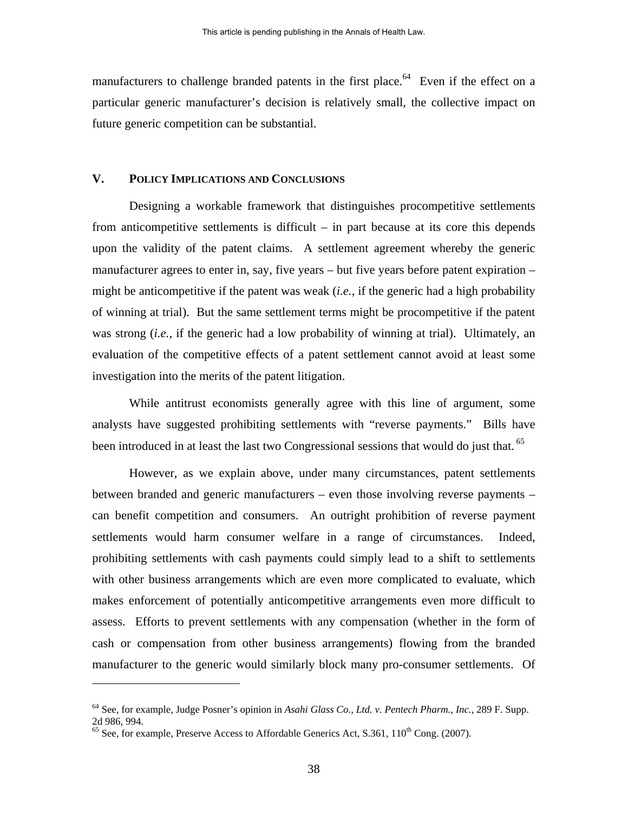manufacturers to challenge branded patents in the first place.<sup>64</sup> Even if the effect on a particular generic manufacturer's decision is relatively small, the collective impact on future generic competition can be substantial.

#### **V. POLICY IMPLICATIONS AND CONCLUSIONS**

Designing a workable framework that distinguishes procompetitive settlements from anticompetitive settlements is difficult – in part because at its core this depends upon the validity of the patent claims. A settlement agreement whereby the generic manufacturer agrees to enter in, say, five years – but five years before patent expiration – might be anticompetitive if the patent was weak (*i.e.*, if the generic had a high probability of winning at trial). But the same settlement terms might be procompetitive if the patent was strong (*i.e.*, if the generic had a low probability of winning at trial). Ultimately, an evaluation of the competitive effects of a patent settlement cannot avoid at least some investigation into the merits of the patent litigation.

While antitrust economists generally agree with this line of argument, some analysts have suggested prohibiting settlements with "reverse payments." Bills have been introduced in at least the last two Congressional sessions that would do just that. <sup>65</sup>

However, as we explain above, under many circumstances, patent settlements between branded and generic manufacturers – even those involving reverse payments – can benefit competition and consumers. An outright prohibition of reverse payment settlements would harm consumer welfare in a range of circumstances. Indeed, prohibiting settlements with cash payments could simply lead to a shift to settlements with other business arrangements which are even more complicated to evaluate, which makes enforcement of potentially anticompetitive arrangements even more difficult to assess. Efforts to prevent settlements with any compensation (whether in the form of cash or compensation from other business arrangements) flowing from the branded manufacturer to the generic would similarly block many pro-consumer settlements. Of

<u>.</u>

<sup>64</sup> See, for example, Judge Posner's opinion in *Asahi Glass Co., Ltd. v. Pentech Pharm., Inc.*, 289 F. Supp. 2d 986, 994.

 $^{65}$  See, for example, Preserve Access to Affordable Generics Act, S.361,  $110^{th}$  Cong. (2007).